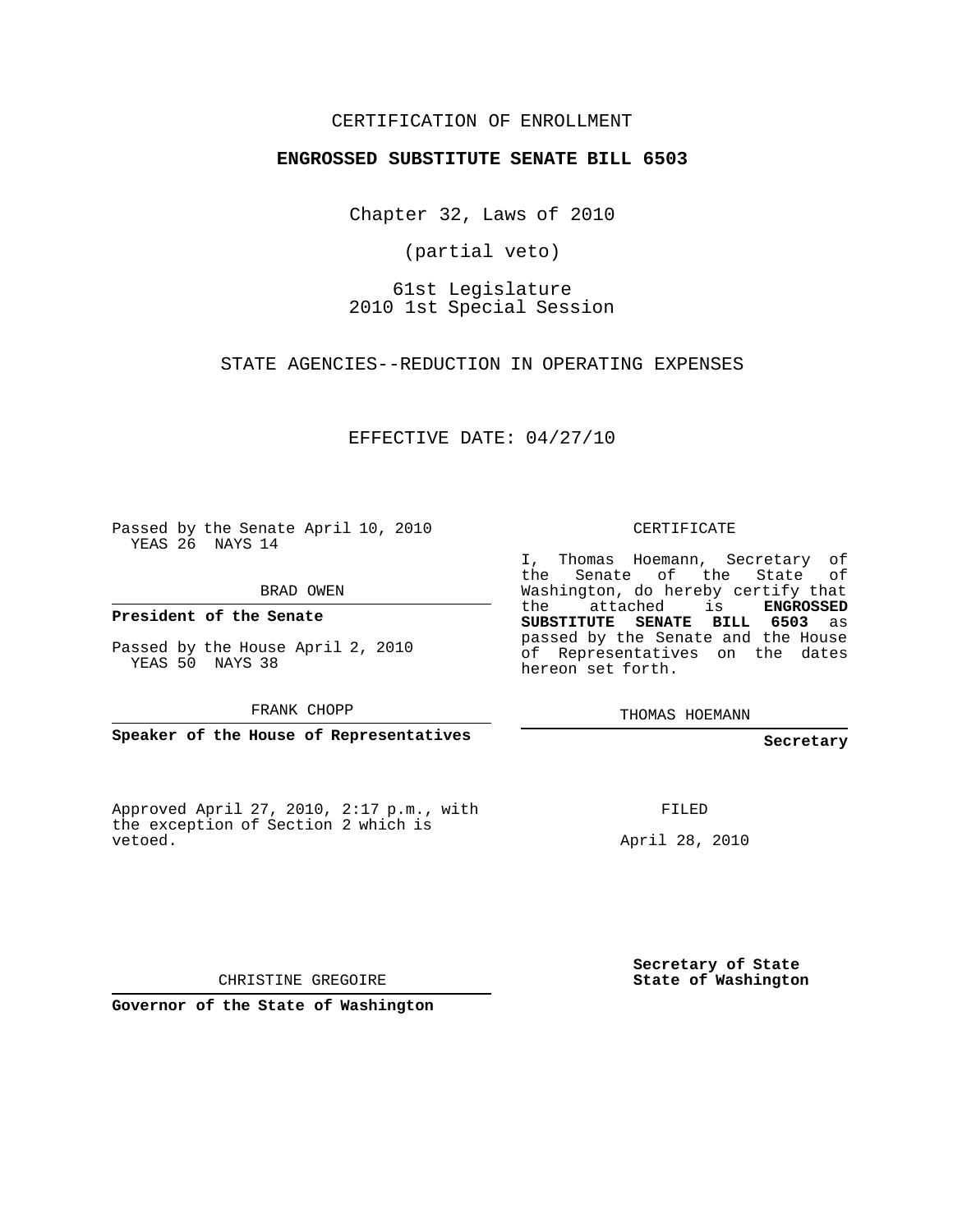# CERTIFICATION OF ENROLLMENT

## **ENGROSSED SUBSTITUTE SENATE BILL 6503**

Chapter 32, Laws of 2010

(partial veto)

61st Legislature 2010 1st Special Session

STATE AGENCIES--REDUCTION IN OPERATING EXPENSES

EFFECTIVE DATE: 04/27/10

Passed by the Senate April 10, 2010 YEAS 26 NAYS 14

BRAD OWEN

**President of the Senate**

Passed by the House April 2, 2010 YEAS 50 NAYS 38

FRANK CHOPP

**Speaker of the House of Representatives**

Approved April 27, 2010, 2:17 p.m., with the exception of Section 2 which is vetoed.

CERTIFICATE

I, Thomas Hoemann, Secretary of the Senate of the State of Washington, do hereby certify that the attached is **ENGROSSED SUBSTITUTE SENATE BILL 6503** as passed by the Senate and the House of Representatives on the dates hereon set forth.

THOMAS HOEMANN

### **Secretary**

FILED

April 28, 2010

**Secretary of State State of Washington**

CHRISTINE GREGOIRE

**Governor of the State of Washington**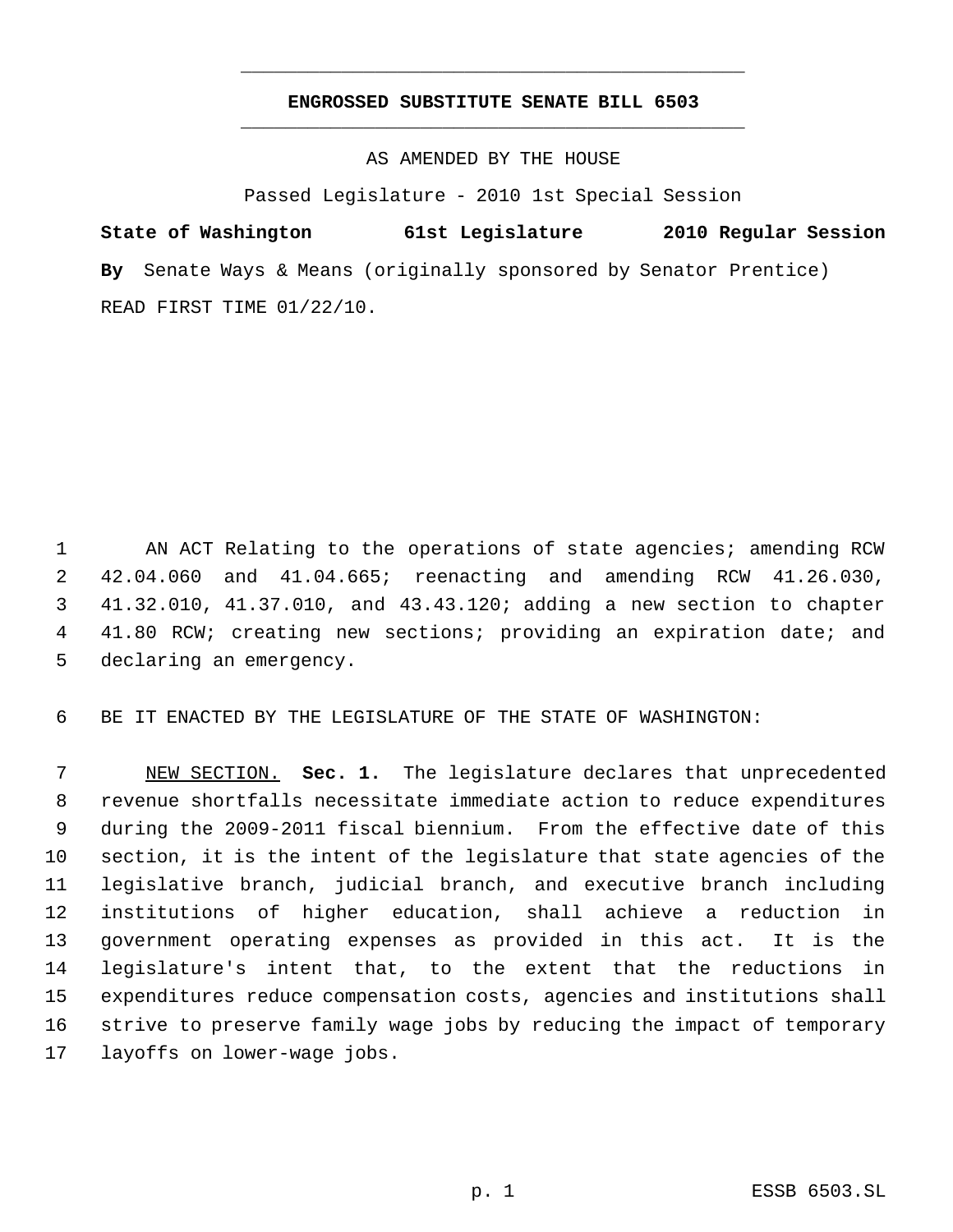# **ENGROSSED SUBSTITUTE SENATE BILL 6503** \_\_\_\_\_\_\_\_\_\_\_\_\_\_\_\_\_\_\_\_\_\_\_\_\_\_\_\_\_\_\_\_\_\_\_\_\_\_\_\_\_\_\_\_\_

\_\_\_\_\_\_\_\_\_\_\_\_\_\_\_\_\_\_\_\_\_\_\_\_\_\_\_\_\_\_\_\_\_\_\_\_\_\_\_\_\_\_\_\_\_

AS AMENDED BY THE HOUSE

Passed Legislature - 2010 1st Special Session

**State of Washington 61st Legislature 2010 Regular Session By** Senate Ways & Means (originally sponsored by Senator Prentice) READ FIRST TIME 01/22/10.

 AN ACT Relating to the operations of state agencies; amending RCW 42.04.060 and 41.04.665; reenacting and amending RCW 41.26.030, 41.32.010, 41.37.010, and 43.43.120; adding a new section to chapter 41.80 RCW; creating new sections; providing an expiration date; and declaring an emergency.

BE IT ENACTED BY THE LEGISLATURE OF THE STATE OF WASHINGTON:

 NEW SECTION. **Sec. 1.** The legislature declares that unprecedented revenue shortfalls necessitate immediate action to reduce expenditures during the 2009-2011 fiscal biennium. From the effective date of this section, it is the intent of the legislature that state agencies of the legislative branch, judicial branch, and executive branch including institutions of higher education, shall achieve a reduction in government operating expenses as provided in this act. It is the legislature's intent that, to the extent that the reductions in expenditures reduce compensation costs, agencies and institutions shall strive to preserve family wage jobs by reducing the impact of temporary layoffs on lower-wage jobs.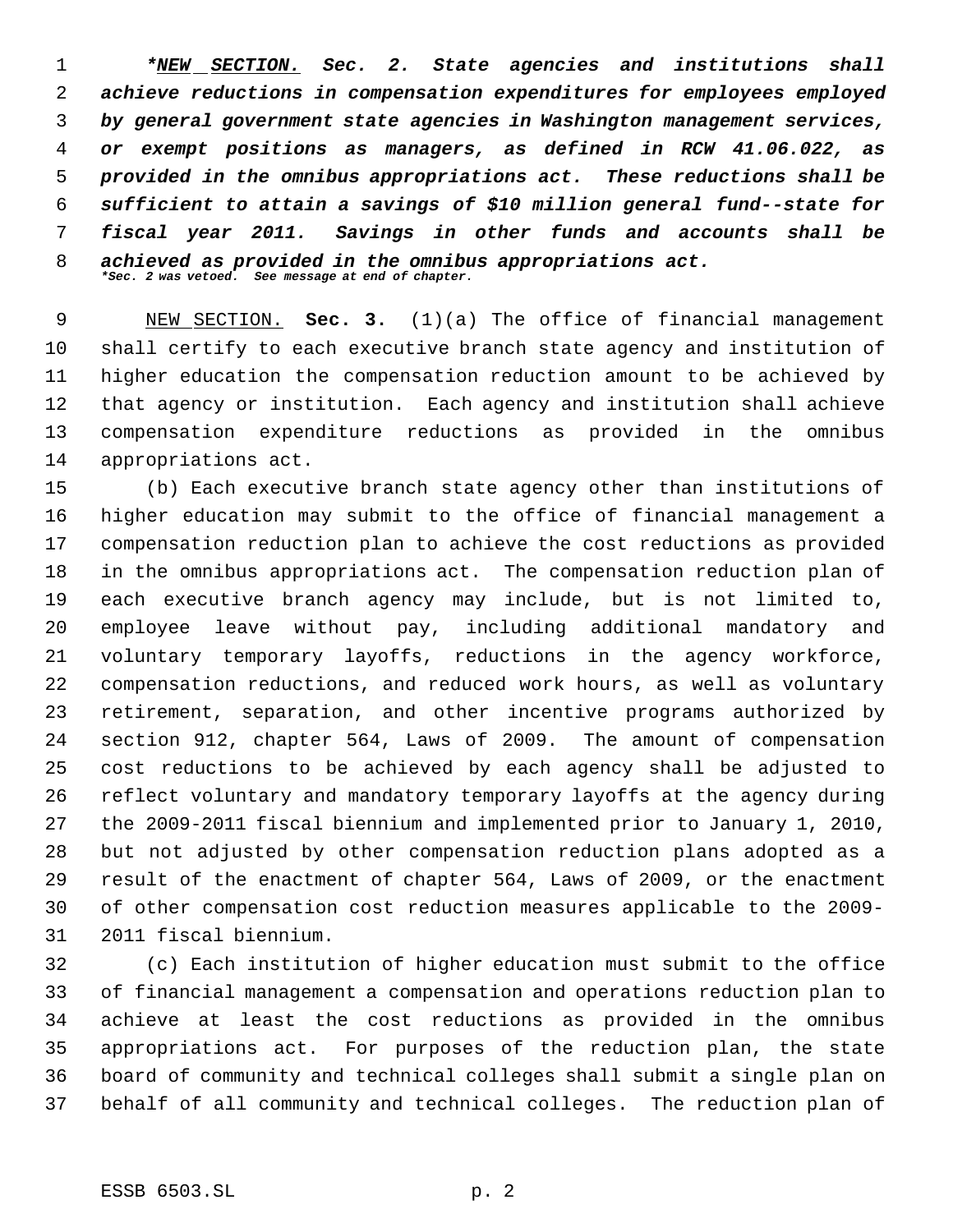*\*NEW SECTION. Sec. 2. State agencies and institutions shall achieve reductions in compensation expenditures for employees employed by general government state agencies in Washington management services, or exempt positions as managers, as defined in RCW 41.06.022, as provided in the omnibus appropriations act. These reductions shall be sufficient to attain a savings of \$10 million general fund--state for fiscal year 2011. Savings in other funds and accounts shall be achieved as provided in the omnibus appropriations act. \*Sec. 2 was vetoed. See message at end of chapter.*

 NEW SECTION. **Sec. 3.** (1)(a) The office of financial management shall certify to each executive branch state agency and institution of higher education the compensation reduction amount to be achieved by that agency or institution. Each agency and institution shall achieve compensation expenditure reductions as provided in the omnibus appropriations act.

 (b) Each executive branch state agency other than institutions of higher education may submit to the office of financial management a compensation reduction plan to achieve the cost reductions as provided in the omnibus appropriations act. The compensation reduction plan of each executive branch agency may include, but is not limited to, employee leave without pay, including additional mandatory and voluntary temporary layoffs, reductions in the agency workforce, compensation reductions, and reduced work hours, as well as voluntary retirement, separation, and other incentive programs authorized by section 912, chapter 564, Laws of 2009. The amount of compensation cost reductions to be achieved by each agency shall be adjusted to reflect voluntary and mandatory temporary layoffs at the agency during the 2009-2011 fiscal biennium and implemented prior to January 1, 2010, but not adjusted by other compensation reduction plans adopted as a result of the enactment of chapter 564, Laws of 2009, or the enactment of other compensation cost reduction measures applicable to the 2009- 2011 fiscal biennium.

 (c) Each institution of higher education must submit to the office of financial management a compensation and operations reduction plan to achieve at least the cost reductions as provided in the omnibus appropriations act. For purposes of the reduction plan, the state board of community and technical colleges shall submit a single plan on behalf of all community and technical colleges. The reduction plan of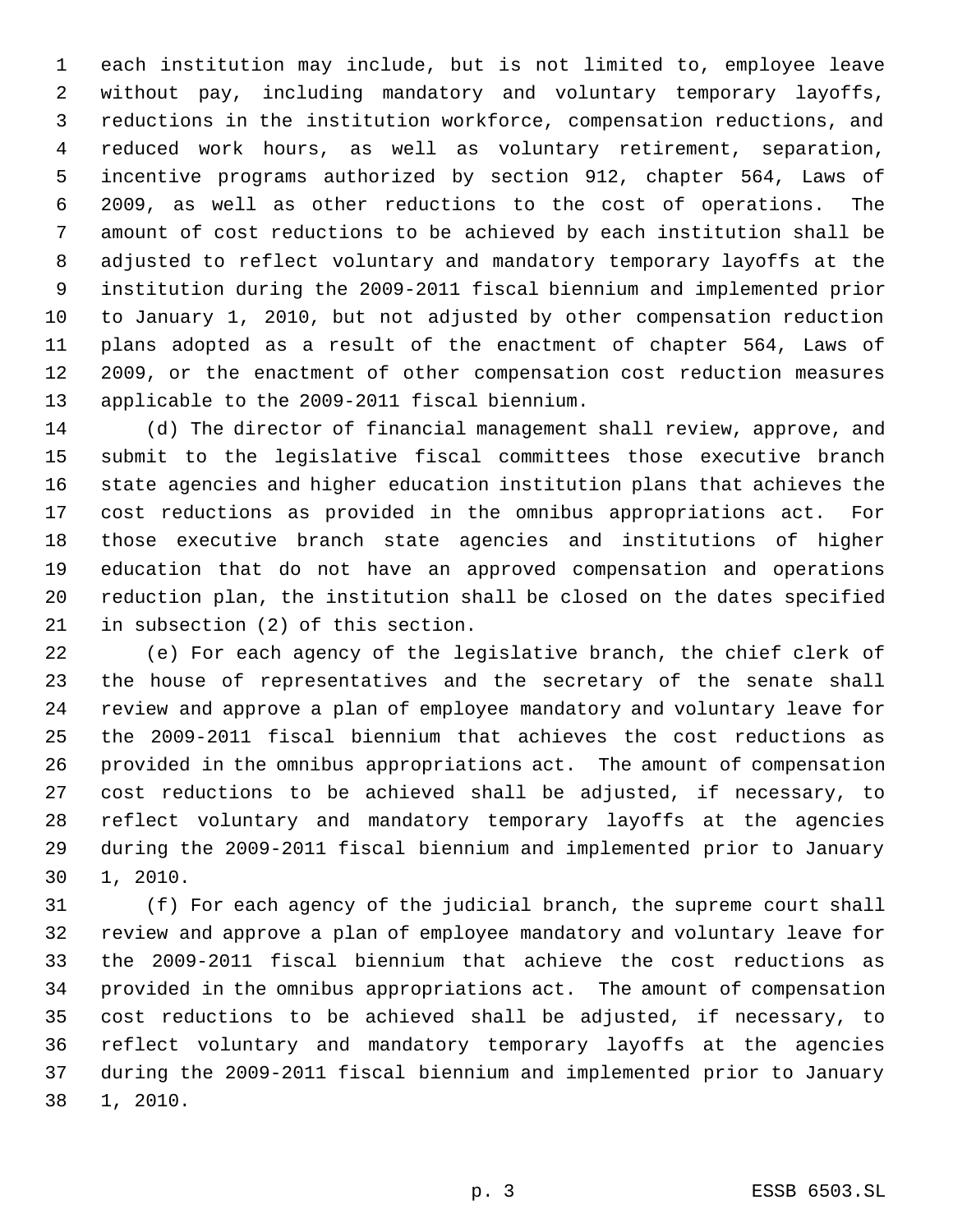each institution may include, but is not limited to, employee leave without pay, including mandatory and voluntary temporary layoffs, reductions in the institution workforce, compensation reductions, and reduced work hours, as well as voluntary retirement, separation, incentive programs authorized by section 912, chapter 564, Laws of 2009, as well as other reductions to the cost of operations. The amount of cost reductions to be achieved by each institution shall be adjusted to reflect voluntary and mandatory temporary layoffs at the institution during the 2009-2011 fiscal biennium and implemented prior to January 1, 2010, but not adjusted by other compensation reduction plans adopted as a result of the enactment of chapter 564, Laws of 2009, or the enactment of other compensation cost reduction measures applicable to the 2009-2011 fiscal biennium.

 (d) The director of financial management shall review, approve, and submit to the legislative fiscal committees those executive branch state agencies and higher education institution plans that achieves the cost reductions as provided in the omnibus appropriations act. For those executive branch state agencies and institutions of higher education that do not have an approved compensation and operations reduction plan, the institution shall be closed on the dates specified in subsection (2) of this section.

 (e) For each agency of the legislative branch, the chief clerk of the house of representatives and the secretary of the senate shall review and approve a plan of employee mandatory and voluntary leave for the 2009-2011 fiscal biennium that achieves the cost reductions as provided in the omnibus appropriations act. The amount of compensation cost reductions to be achieved shall be adjusted, if necessary, to reflect voluntary and mandatory temporary layoffs at the agencies during the 2009-2011 fiscal biennium and implemented prior to January 1, 2010.

 (f) For each agency of the judicial branch, the supreme court shall review and approve a plan of employee mandatory and voluntary leave for the 2009-2011 fiscal biennium that achieve the cost reductions as provided in the omnibus appropriations act. The amount of compensation cost reductions to be achieved shall be adjusted, if necessary, to reflect voluntary and mandatory temporary layoffs at the agencies during the 2009-2011 fiscal biennium and implemented prior to January 1, 2010.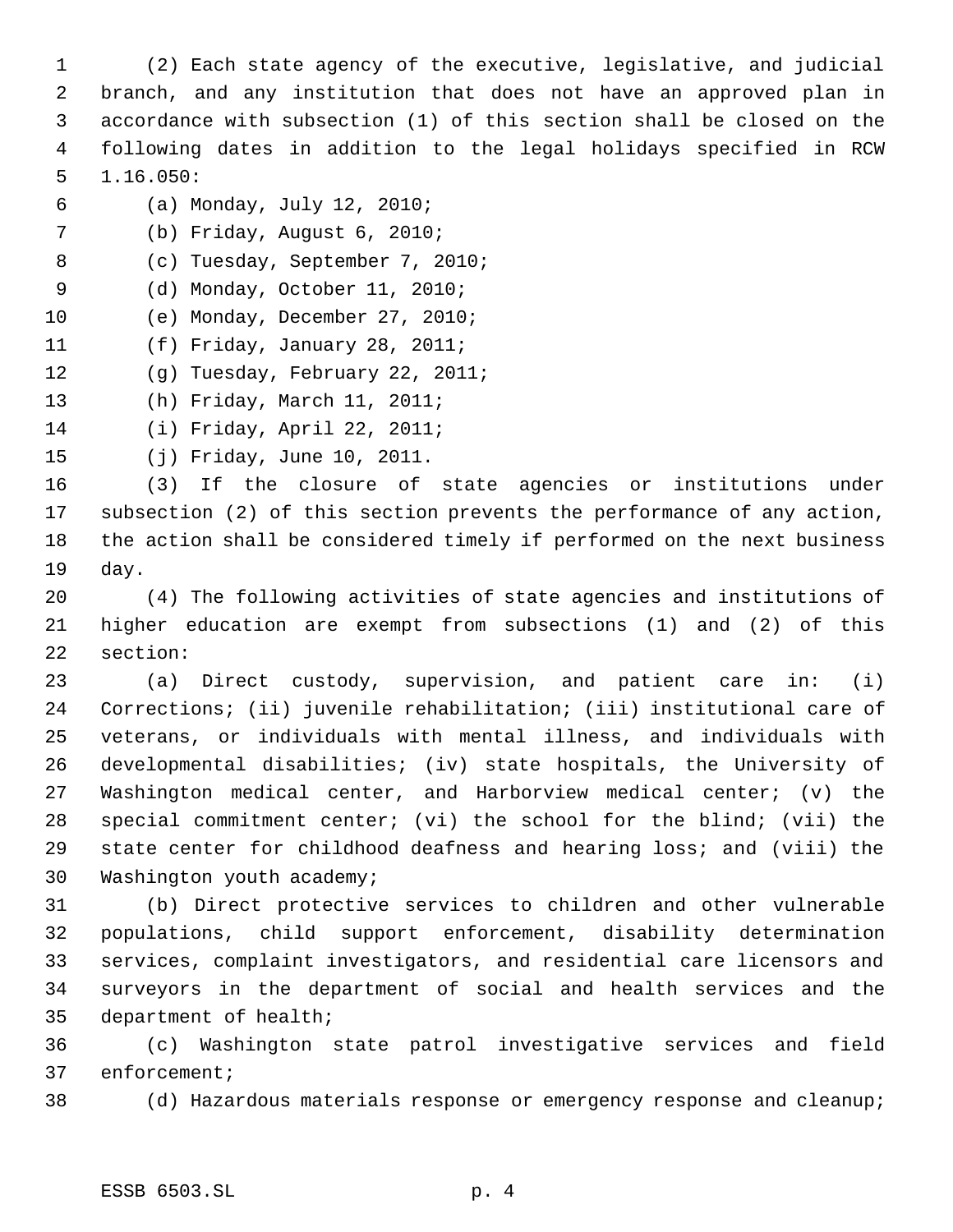(2) Each state agency of the executive, legislative, and judicial branch, and any institution that does not have an approved plan in accordance with subsection (1) of this section shall be closed on the following dates in addition to the legal holidays specified in RCW 1.16.050:

- (a) Monday, July 12, 2010;
- (b) Friday, August 6, 2010;

(c) Tuesday, September 7, 2010;

- (d) Monday, October 11, 2010;
- (e) Monday, December 27, 2010;
- (f) Friday, January 28, 2011;
- (g) Tuesday, February 22, 2011;

(h) Friday, March 11, 2011;

(i) Friday, April 22, 2011;

(j) Friday, June 10, 2011.

 (3) If the closure of state agencies or institutions under subsection (2) of this section prevents the performance of any action, the action shall be considered timely if performed on the next business day.

 (4) The following activities of state agencies and institutions of higher education are exempt from subsections (1) and (2) of this section:

 (a) Direct custody, supervision, and patient care in: (i) Corrections; (ii) juvenile rehabilitation; (iii) institutional care of veterans, or individuals with mental illness, and individuals with developmental disabilities; (iv) state hospitals, the University of Washington medical center, and Harborview medical center; (v) the special commitment center; (vi) the school for the blind; (vii) the state center for childhood deafness and hearing loss; and (viii) the Washington youth academy;

 (b) Direct protective services to children and other vulnerable populations, child support enforcement, disability determination services, complaint investigators, and residential care licensors and surveyors in the department of social and health services and the department of health;

 (c) Washington state patrol investigative services and field enforcement;

(d) Hazardous materials response or emergency response and cleanup;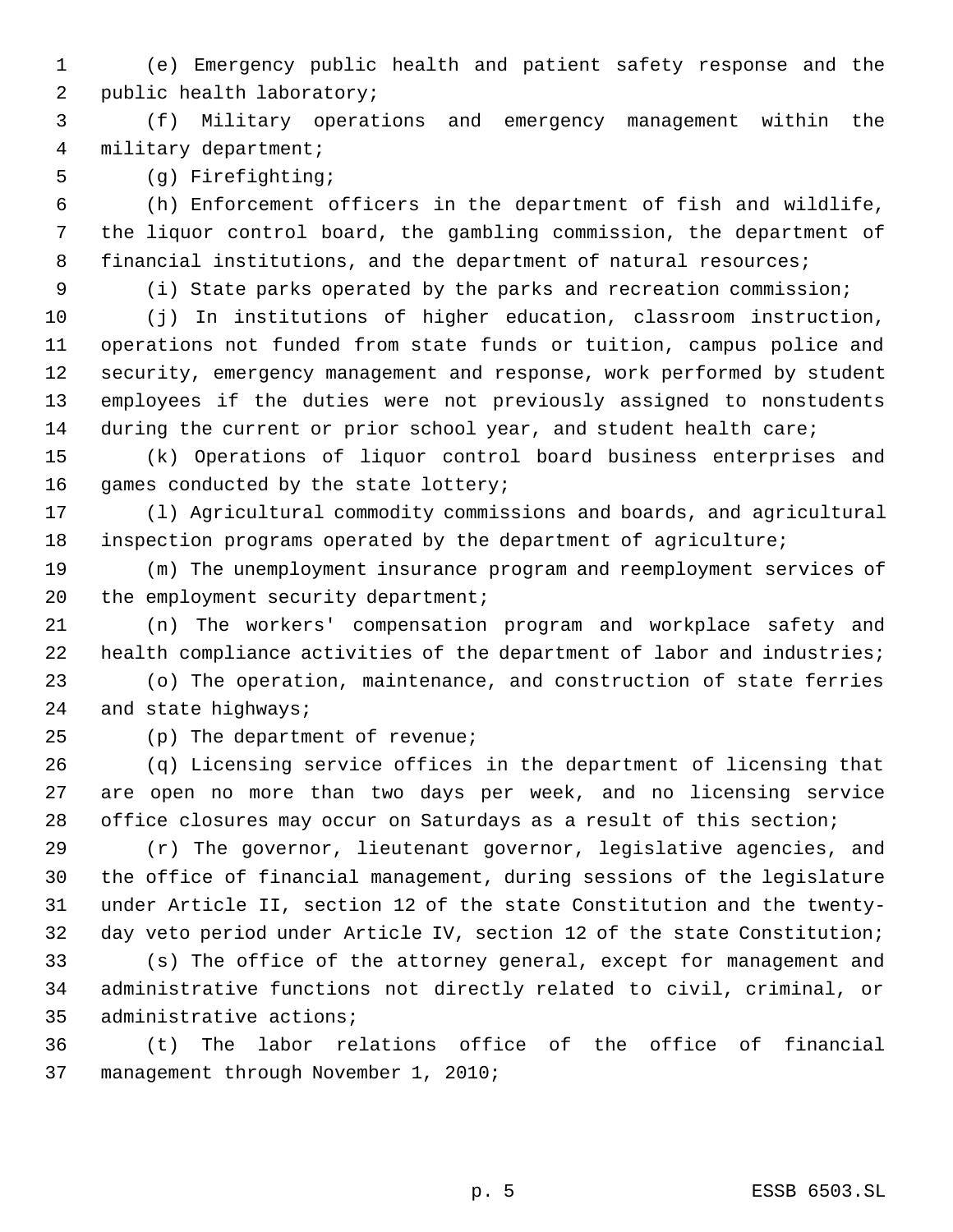(e) Emergency public health and patient safety response and the public health laboratory;

 (f) Military operations and emergency management within the military department;

(g) Firefighting;

 (h) Enforcement officers in the department of fish and wildlife, the liquor control board, the gambling commission, the department of 8 financial institutions, and the department of natural resources;

(i) State parks operated by the parks and recreation commission;

 (j) In institutions of higher education, classroom instruction, operations not funded from state funds or tuition, campus police and security, emergency management and response, work performed by student employees if the duties were not previously assigned to nonstudents 14 during the current or prior school year, and student health care;

 (k) Operations of liquor control board business enterprises and games conducted by the state lottery;

 (l) Agricultural commodity commissions and boards, and agricultural inspection programs operated by the department of agriculture;

 (m) The unemployment insurance program and reemployment services of 20 the employment security department;

 (n) The workers' compensation program and workplace safety and 22 health compliance activities of the department of labor and industries;

 (o) The operation, maintenance, and construction of state ferries and state highways;

(p) The department of revenue;

 (q) Licensing service offices in the department of licensing that are open no more than two days per week, and no licensing service office closures may occur on Saturdays as a result of this section;

 (r) The governor, lieutenant governor, legislative agencies, and the office of financial management, during sessions of the legislature under Article II, section 12 of the state Constitution and the twenty-day veto period under Article IV, section 12 of the state Constitution;

 (s) The office of the attorney general, except for management and administrative functions not directly related to civil, criminal, or administrative actions;

 (t) The labor relations office of the office of financial management through November 1, 2010;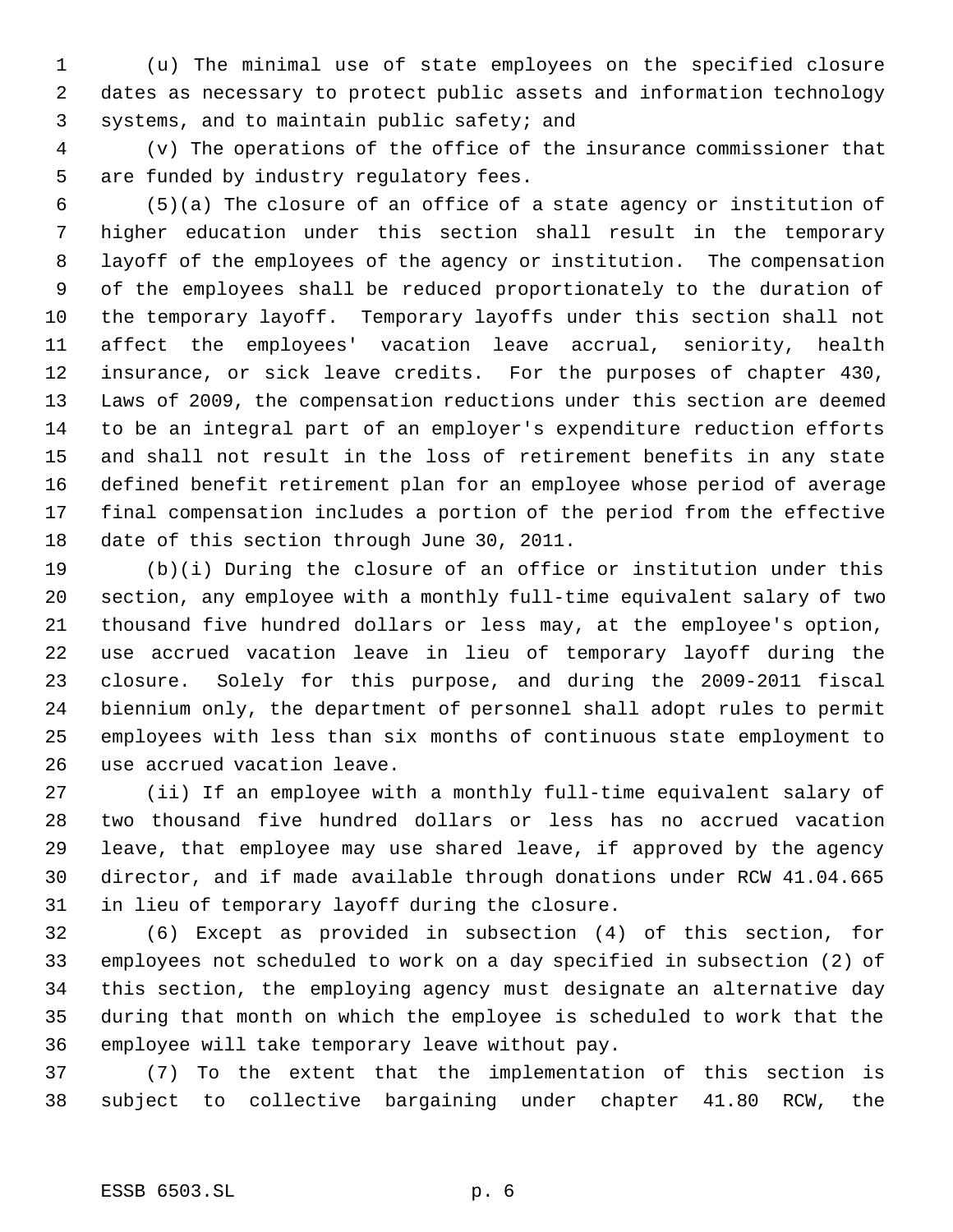(u) The minimal use of state employees on the specified closure dates as necessary to protect public assets and information technology systems, and to maintain public safety; and

 (v) The operations of the office of the insurance commissioner that are funded by industry regulatory fees.

 (5)(a) The closure of an office of a state agency or institution of higher education under this section shall result in the temporary layoff of the employees of the agency or institution. The compensation of the employees shall be reduced proportionately to the duration of the temporary layoff. Temporary layoffs under this section shall not affect the employees' vacation leave accrual, seniority, health insurance, or sick leave credits. For the purposes of chapter 430, Laws of 2009, the compensation reductions under this section are deemed to be an integral part of an employer's expenditure reduction efforts and shall not result in the loss of retirement benefits in any state defined benefit retirement plan for an employee whose period of average final compensation includes a portion of the period from the effective date of this section through June 30, 2011.

 (b)(i) During the closure of an office or institution under this section, any employee with a monthly full-time equivalent salary of two thousand five hundred dollars or less may, at the employee's option, use accrued vacation leave in lieu of temporary layoff during the closure. Solely for this purpose, and during the 2009-2011 fiscal biennium only, the department of personnel shall adopt rules to permit employees with less than six months of continuous state employment to use accrued vacation leave.

 (ii) If an employee with a monthly full-time equivalent salary of two thousand five hundred dollars or less has no accrued vacation leave, that employee may use shared leave, if approved by the agency director, and if made available through donations under RCW 41.04.665 in lieu of temporary layoff during the closure.

 (6) Except as provided in subsection (4) of this section, for employees not scheduled to work on a day specified in subsection (2) of this section, the employing agency must designate an alternative day during that month on which the employee is scheduled to work that the employee will take temporary leave without pay.

 (7) To the extent that the implementation of this section is subject to collective bargaining under chapter 41.80 RCW, the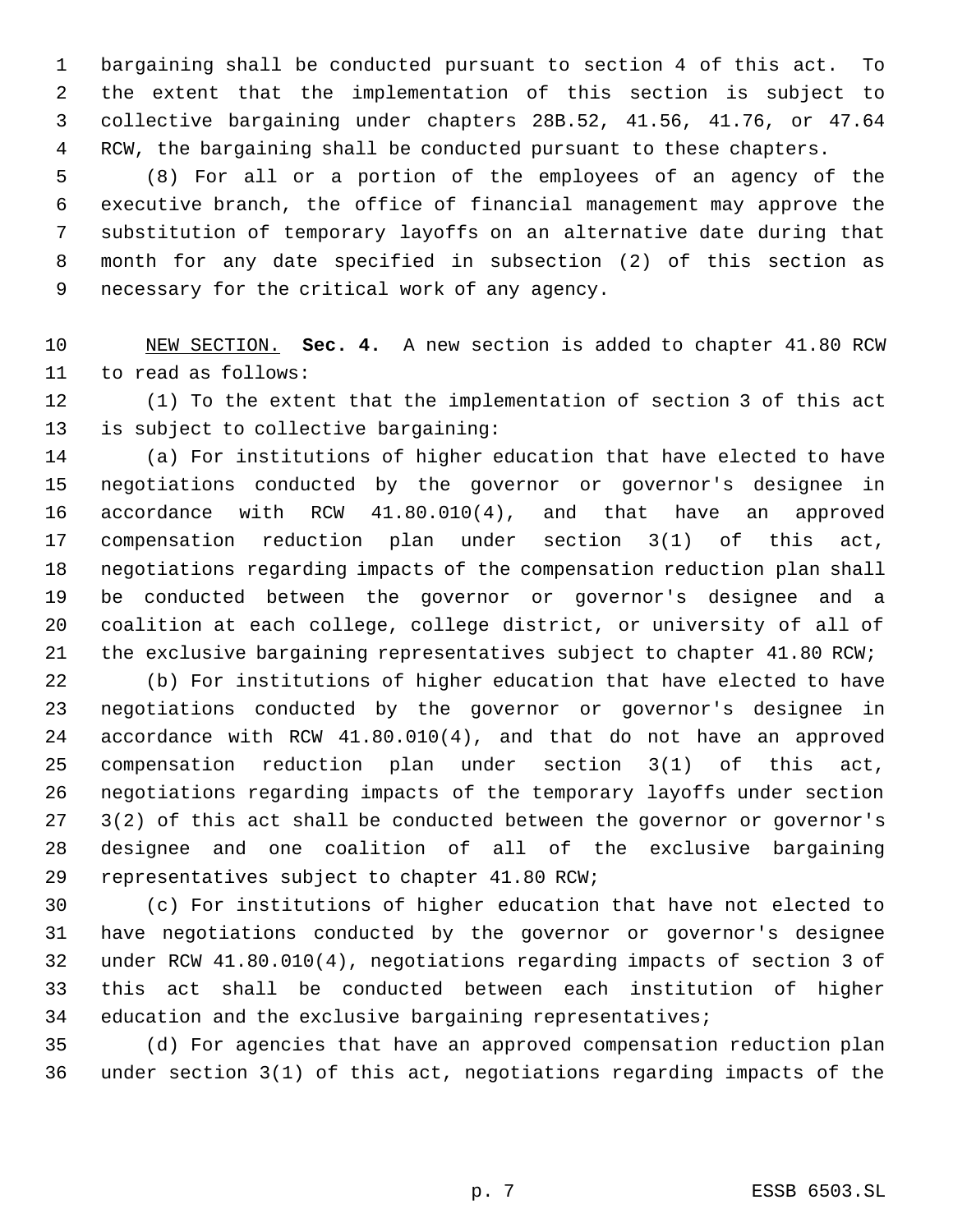bargaining shall be conducted pursuant to section 4 of this act. To the extent that the implementation of this section is subject to collective bargaining under chapters 28B.52, 41.56, 41.76, or 47.64 RCW, the bargaining shall be conducted pursuant to these chapters.

 (8) For all or a portion of the employees of an agency of the executive branch, the office of financial management may approve the substitution of temporary layoffs on an alternative date during that month for any date specified in subsection (2) of this section as necessary for the critical work of any agency.

 NEW SECTION. **Sec. 4.** A new section is added to chapter 41.80 RCW to read as follows:

 (1) To the extent that the implementation of section 3 of this act is subject to collective bargaining:

 (a) For institutions of higher education that have elected to have negotiations conducted by the governor or governor's designee in accordance with RCW 41.80.010(4), and that have an approved compensation reduction plan under section 3(1) of this act, negotiations regarding impacts of the compensation reduction plan shall be conducted between the governor or governor's designee and a coalition at each college, college district, or university of all of 21 the exclusive bargaining representatives subject to chapter 41.80 RCW;

 (b) For institutions of higher education that have elected to have negotiations conducted by the governor or governor's designee in accordance with RCW 41.80.010(4), and that do not have an approved compensation reduction plan under section 3(1) of this act, negotiations regarding impacts of the temporary layoffs under section 3(2) of this act shall be conducted between the governor or governor's designee and one coalition of all of the exclusive bargaining representatives subject to chapter 41.80 RCW;

 (c) For institutions of higher education that have not elected to have negotiations conducted by the governor or governor's designee under RCW 41.80.010(4), negotiations regarding impacts of section 3 of this act shall be conducted between each institution of higher education and the exclusive bargaining representatives;

 (d) For agencies that have an approved compensation reduction plan under section 3(1) of this act, negotiations regarding impacts of the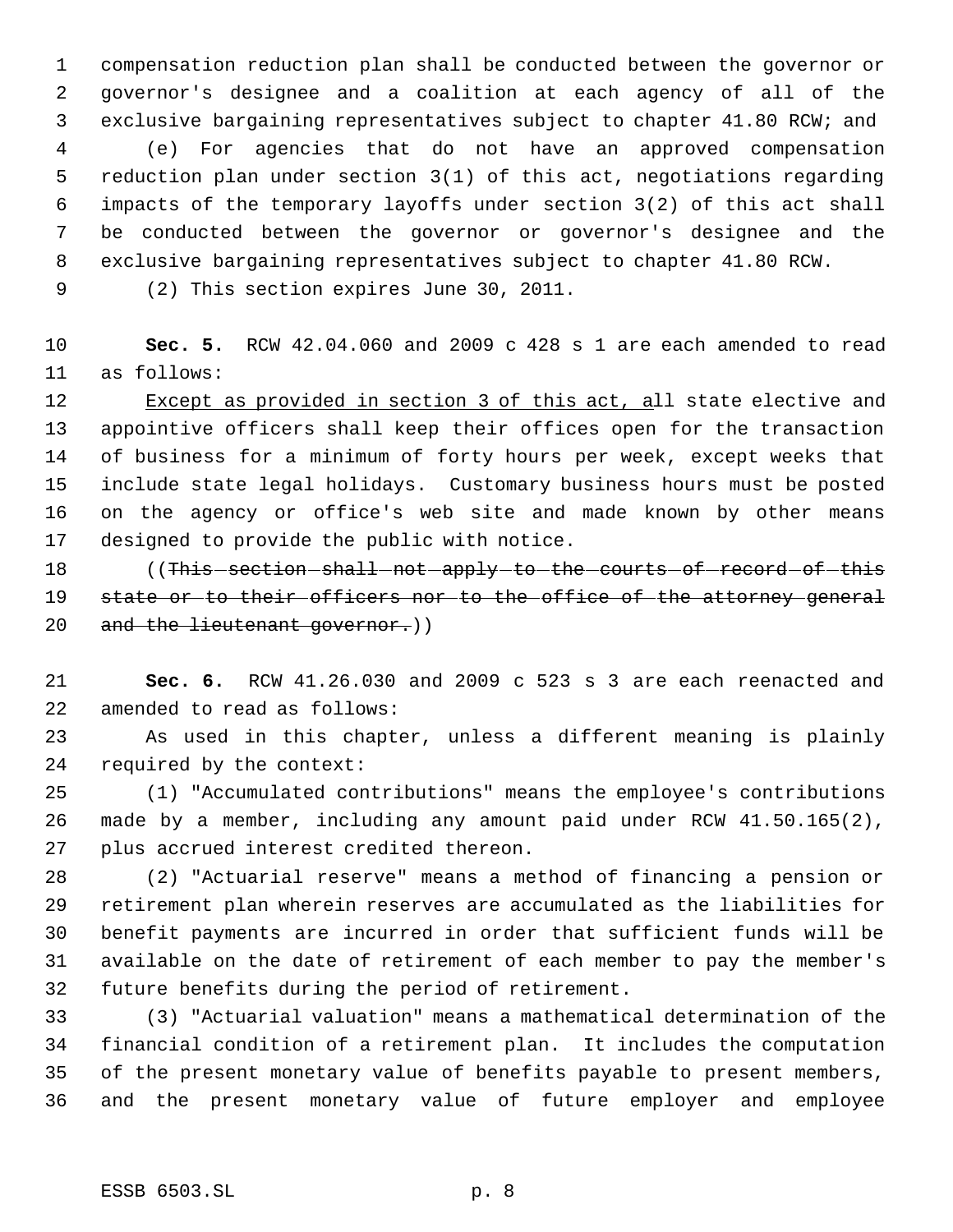compensation reduction plan shall be conducted between the governor or governor's designee and a coalition at each agency of all of the exclusive bargaining representatives subject to chapter 41.80 RCW; and (e) For agencies that do not have an approved compensation reduction plan under section 3(1) of this act, negotiations regarding impacts of the temporary layoffs under section 3(2) of this act shall be conducted between the governor or governor's designee and the exclusive bargaining representatives subject to chapter 41.80 RCW.

(2) This section expires June 30, 2011.

 **Sec. 5.** RCW 42.04.060 and 2009 c 428 s 1 are each amended to read as follows:

12 Except as provided in section 3 of this act, all state elective and appointive officers shall keep their offices open for the transaction of business for a minimum of forty hours per week, except weeks that include state legal holidays. Customary business hours must be posted on the agency or office's web site and made known by other means designed to provide the public with notice.

18 (This section shall not apply to the courts of record of this 19 state or to their officers nor to the office of the attorney general 20 and the lieutenant governor.)

 **Sec. 6.** RCW 41.26.030 and 2009 c 523 s 3 are each reenacted and amended to read as follows:

 As used in this chapter, unless a different meaning is plainly required by the context:

 (1) "Accumulated contributions" means the employee's contributions made by a member, including any amount paid under RCW 41.50.165(2), plus accrued interest credited thereon.

 (2) "Actuarial reserve" means a method of financing a pension or retirement plan wherein reserves are accumulated as the liabilities for benefit payments are incurred in order that sufficient funds will be available on the date of retirement of each member to pay the member's future benefits during the period of retirement.

 (3) "Actuarial valuation" means a mathematical determination of the financial condition of a retirement plan. It includes the computation of the present monetary value of benefits payable to present members, and the present monetary value of future employer and employee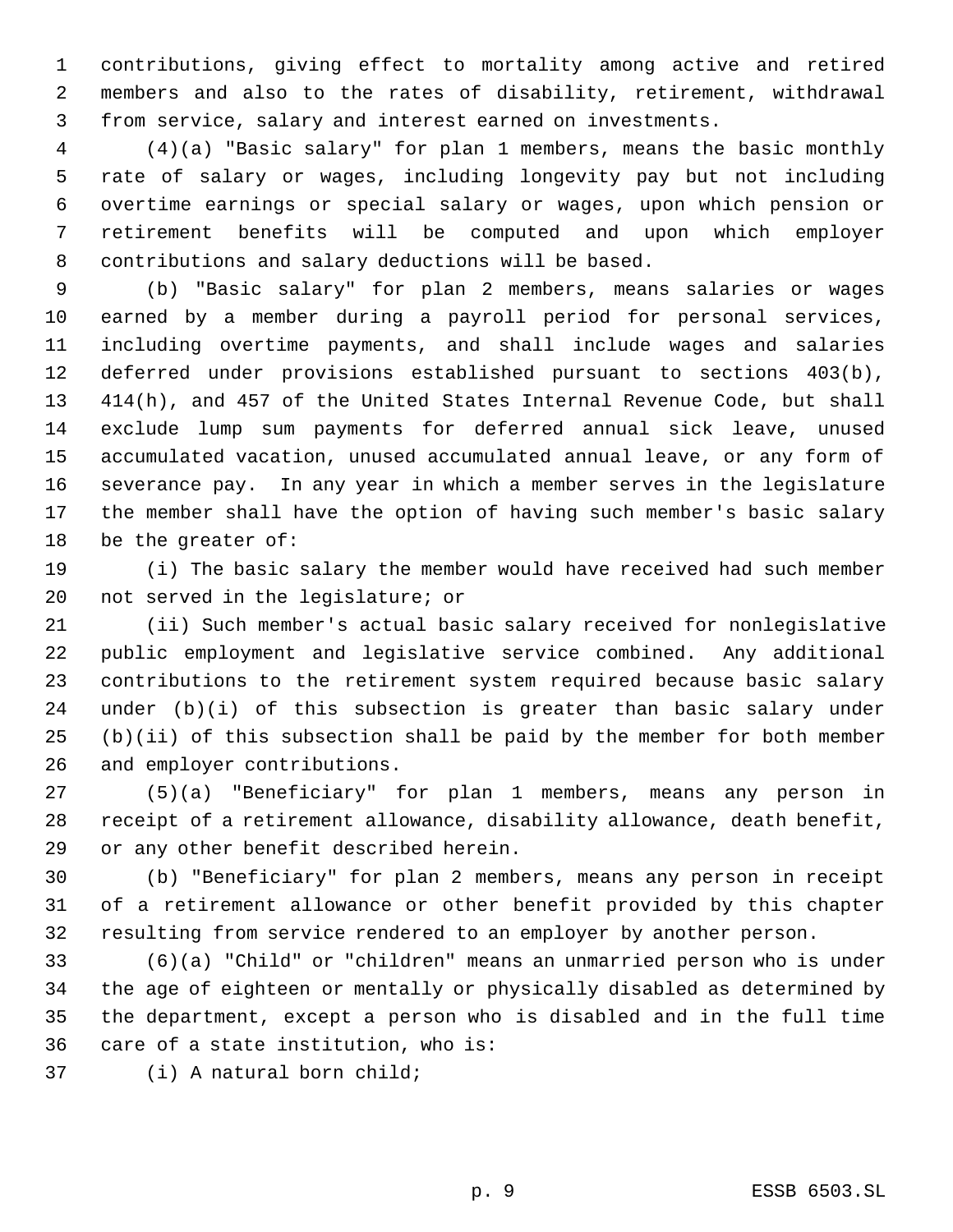contributions, giving effect to mortality among active and retired members and also to the rates of disability, retirement, withdrawal from service, salary and interest earned on investments.

 (4)(a) "Basic salary" for plan 1 members, means the basic monthly rate of salary or wages, including longevity pay but not including overtime earnings or special salary or wages, upon which pension or retirement benefits will be computed and upon which employer contributions and salary deductions will be based.

 (b) "Basic salary" for plan 2 members, means salaries or wages earned by a member during a payroll period for personal services, including overtime payments, and shall include wages and salaries deferred under provisions established pursuant to sections 403(b), 414(h), and 457 of the United States Internal Revenue Code, but shall exclude lump sum payments for deferred annual sick leave, unused accumulated vacation, unused accumulated annual leave, or any form of severance pay. In any year in which a member serves in the legislature the member shall have the option of having such member's basic salary be the greater of:

 (i) The basic salary the member would have received had such member not served in the legislature; or

 (ii) Such member's actual basic salary received for nonlegislative public employment and legislative service combined. Any additional contributions to the retirement system required because basic salary under (b)(i) of this subsection is greater than basic salary under (b)(ii) of this subsection shall be paid by the member for both member and employer contributions.

 (5)(a) "Beneficiary" for plan 1 members, means any person in receipt of a retirement allowance, disability allowance, death benefit, or any other benefit described herein.

 (b) "Beneficiary" for plan 2 members, means any person in receipt of a retirement allowance or other benefit provided by this chapter resulting from service rendered to an employer by another person.

 (6)(a) "Child" or "children" means an unmarried person who is under the age of eighteen or mentally or physically disabled as determined by the department, except a person who is disabled and in the full time care of a state institution, who is:

(i) A natural born child;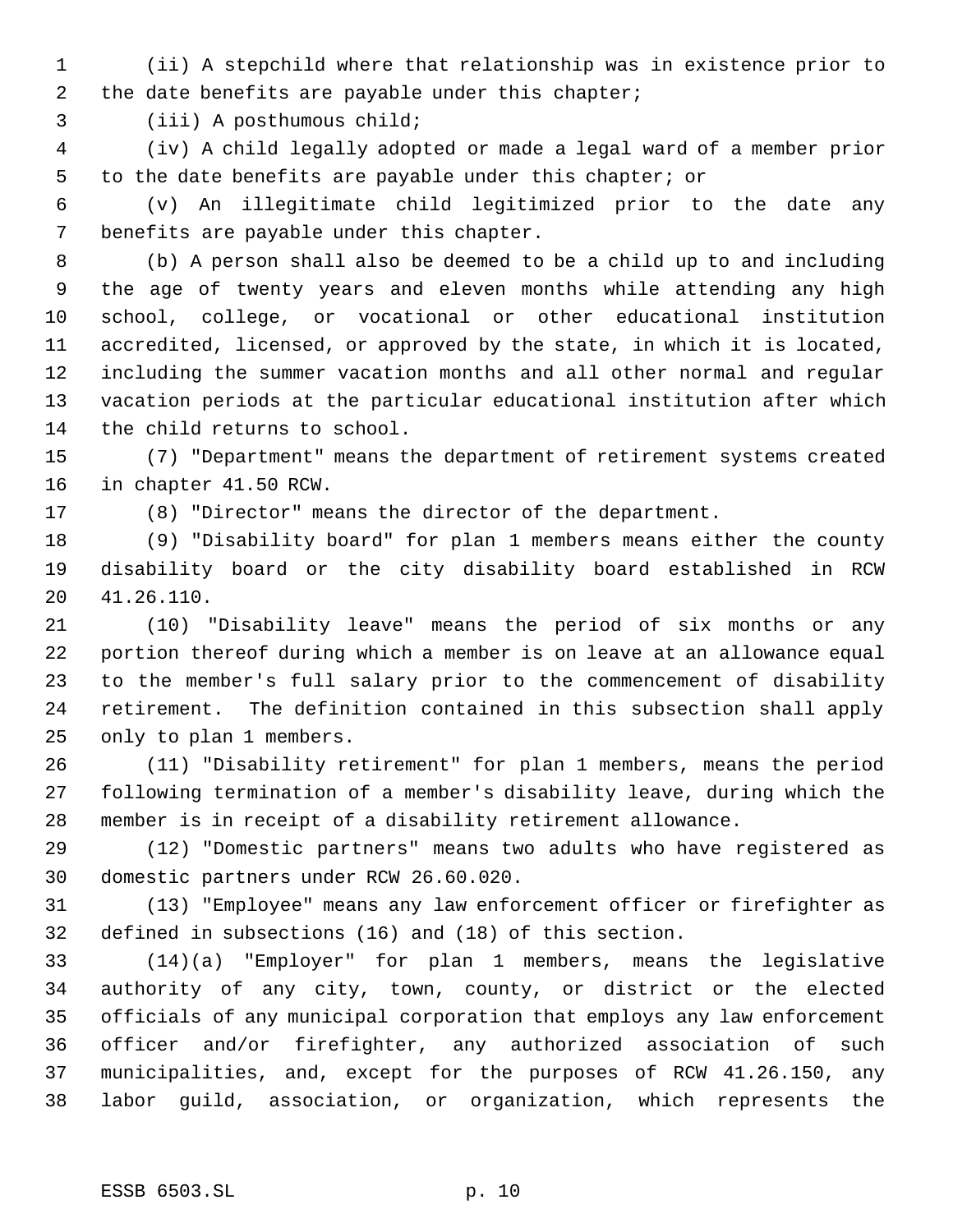(ii) A stepchild where that relationship was in existence prior to the date benefits are payable under this chapter;

(iii) A posthumous child;

 (iv) A child legally adopted or made a legal ward of a member prior to the date benefits are payable under this chapter; or

 (v) An illegitimate child legitimized prior to the date any benefits are payable under this chapter.

 (b) A person shall also be deemed to be a child up to and including the age of twenty years and eleven months while attending any high school, college, or vocational or other educational institution accredited, licensed, or approved by the state, in which it is located, including the summer vacation months and all other normal and regular vacation periods at the particular educational institution after which the child returns to school.

 (7) "Department" means the department of retirement systems created in chapter 41.50 RCW.

(8) "Director" means the director of the department.

 (9) "Disability board" for plan 1 members means either the county disability board or the city disability board established in RCW 41.26.110.

 (10) "Disability leave" means the period of six months or any portion thereof during which a member is on leave at an allowance equal to the member's full salary prior to the commencement of disability retirement. The definition contained in this subsection shall apply only to plan 1 members.

 (11) "Disability retirement" for plan 1 members, means the period following termination of a member's disability leave, during which the member is in receipt of a disability retirement allowance.

 (12) "Domestic partners" means two adults who have registered as domestic partners under RCW 26.60.020.

 (13) "Employee" means any law enforcement officer or firefighter as defined in subsections (16) and (18) of this section.

 (14)(a) "Employer" for plan 1 members, means the legislative authority of any city, town, county, or district or the elected officials of any municipal corporation that employs any law enforcement officer and/or firefighter, any authorized association of such municipalities, and, except for the purposes of RCW 41.26.150, any labor guild, association, or organization, which represents the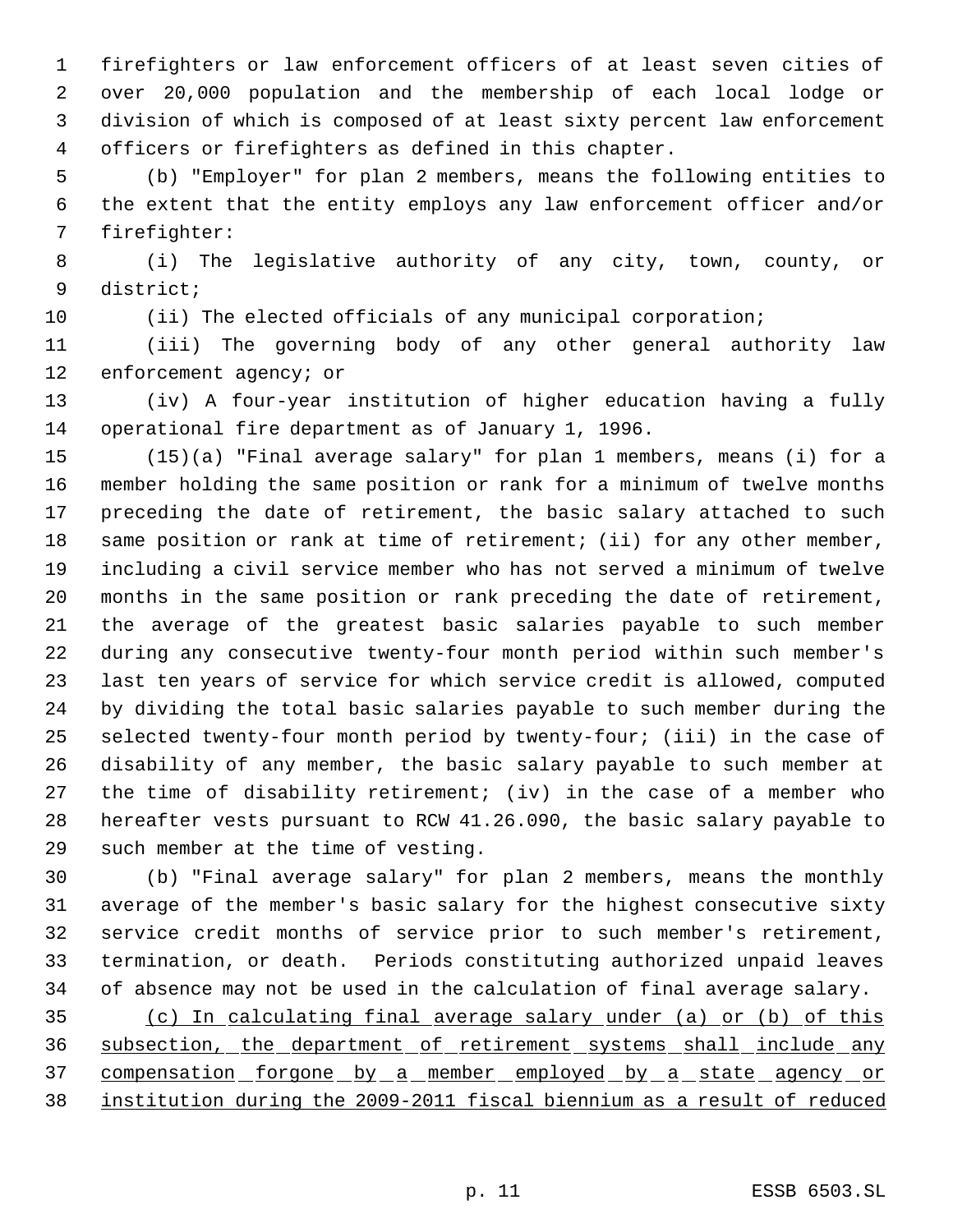firefighters or law enforcement officers of at least seven cities of over 20,000 population and the membership of each local lodge or division of which is composed of at least sixty percent law enforcement officers or firefighters as defined in this chapter.

 (b) "Employer" for plan 2 members, means the following entities to the extent that the entity employs any law enforcement officer and/or firefighter:

 (i) The legislative authority of any city, town, county, or district;

(ii) The elected officials of any municipal corporation;

 (iii) The governing body of any other general authority law 12 enforcement agency; or

 (iv) A four-year institution of higher education having a fully operational fire department as of January 1, 1996.

 (15)(a) "Final average salary" for plan 1 members, means (i) for a member holding the same position or rank for a minimum of twelve months preceding the date of retirement, the basic salary attached to such same position or rank at time of retirement; (ii) for any other member, including a civil service member who has not served a minimum of twelve months in the same position or rank preceding the date of retirement, the average of the greatest basic salaries payable to such member during any consecutive twenty-four month period within such member's last ten years of service for which service credit is allowed, computed by dividing the total basic salaries payable to such member during the selected twenty-four month period by twenty-four; (iii) in the case of disability of any member, the basic salary payable to such member at the time of disability retirement; (iv) in the case of a member who hereafter vests pursuant to RCW 41.26.090, the basic salary payable to such member at the time of vesting.

 (b) "Final average salary" for plan 2 members, means the monthly average of the member's basic salary for the highest consecutive sixty service credit months of service prior to such member's retirement, termination, or death. Periods constituting authorized unpaid leaves of absence may not be used in the calculation of final average salary.

 (c) In calculating final average salary under (a) or (b) of this 36 subsection, the department of retirement systems shall include any 37 compensation forgone by a member employed by a state agency or institution during the 2009-2011 fiscal biennium as a result of reduced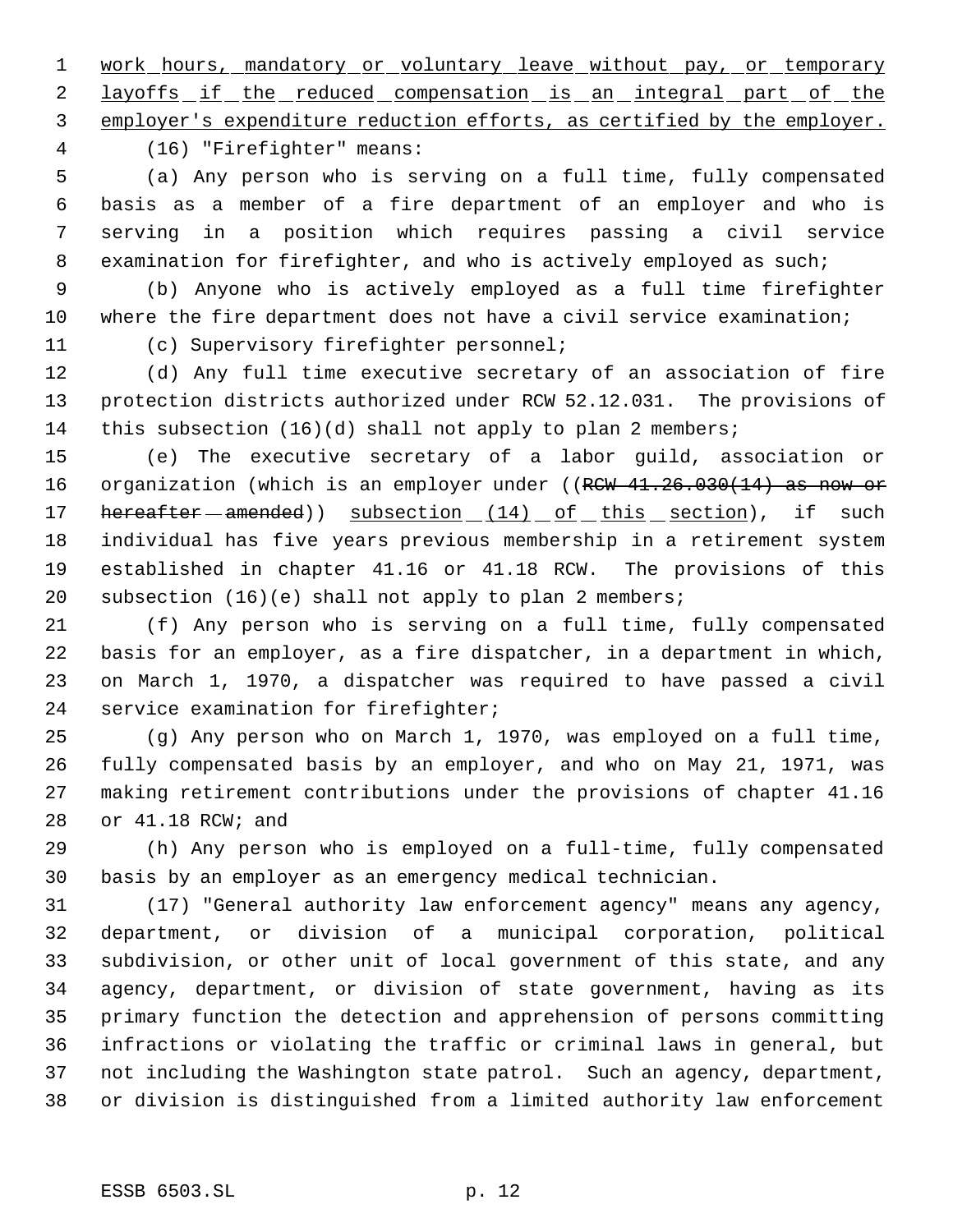1 work hours, mandatory or voluntary leave without pay, or temporary 2 layoffs if the reduced compensation is an integral part of the

employer's expenditure reduction efforts, as certified by the employer.

(16) "Firefighter" means:

 (a) Any person who is serving on a full time, fully compensated basis as a member of a fire department of an employer and who is serving in a position which requires passing a civil service 8 examination for firefighter, and who is actively employed as such;

 (b) Anyone who is actively employed as a full time firefighter where the fire department does not have a civil service examination;

(c) Supervisory firefighter personnel;

 (d) Any full time executive secretary of an association of fire protection districts authorized under RCW 52.12.031. The provisions of this subsection (16)(d) shall not apply to plan 2 members;

 (e) The executive secretary of a labor guild, association or 16 organization (which is an employer under ((RCW 41.26.030(14) as now or 17 hereafter - amended) subsection (14) of this section), if such individual has five years previous membership in a retirement system established in chapter 41.16 or 41.18 RCW. The provisions of this subsection (16)(e) shall not apply to plan 2 members;

 (f) Any person who is serving on a full time, fully compensated basis for an employer, as a fire dispatcher, in a department in which, on March 1, 1970, a dispatcher was required to have passed a civil service examination for firefighter;

 (g) Any person who on March 1, 1970, was employed on a full time, fully compensated basis by an employer, and who on May 21, 1971, was making retirement contributions under the provisions of chapter 41.16 or 41.18 RCW; and

 (h) Any person who is employed on a full-time, fully compensated basis by an employer as an emergency medical technician.

 (17) "General authority law enforcement agency" means any agency, department, or division of a municipal corporation, political subdivision, or other unit of local government of this state, and any agency, department, or division of state government, having as its primary function the detection and apprehension of persons committing infractions or violating the traffic or criminal laws in general, but not including the Washington state patrol. Such an agency, department, or division is distinguished from a limited authority law enforcement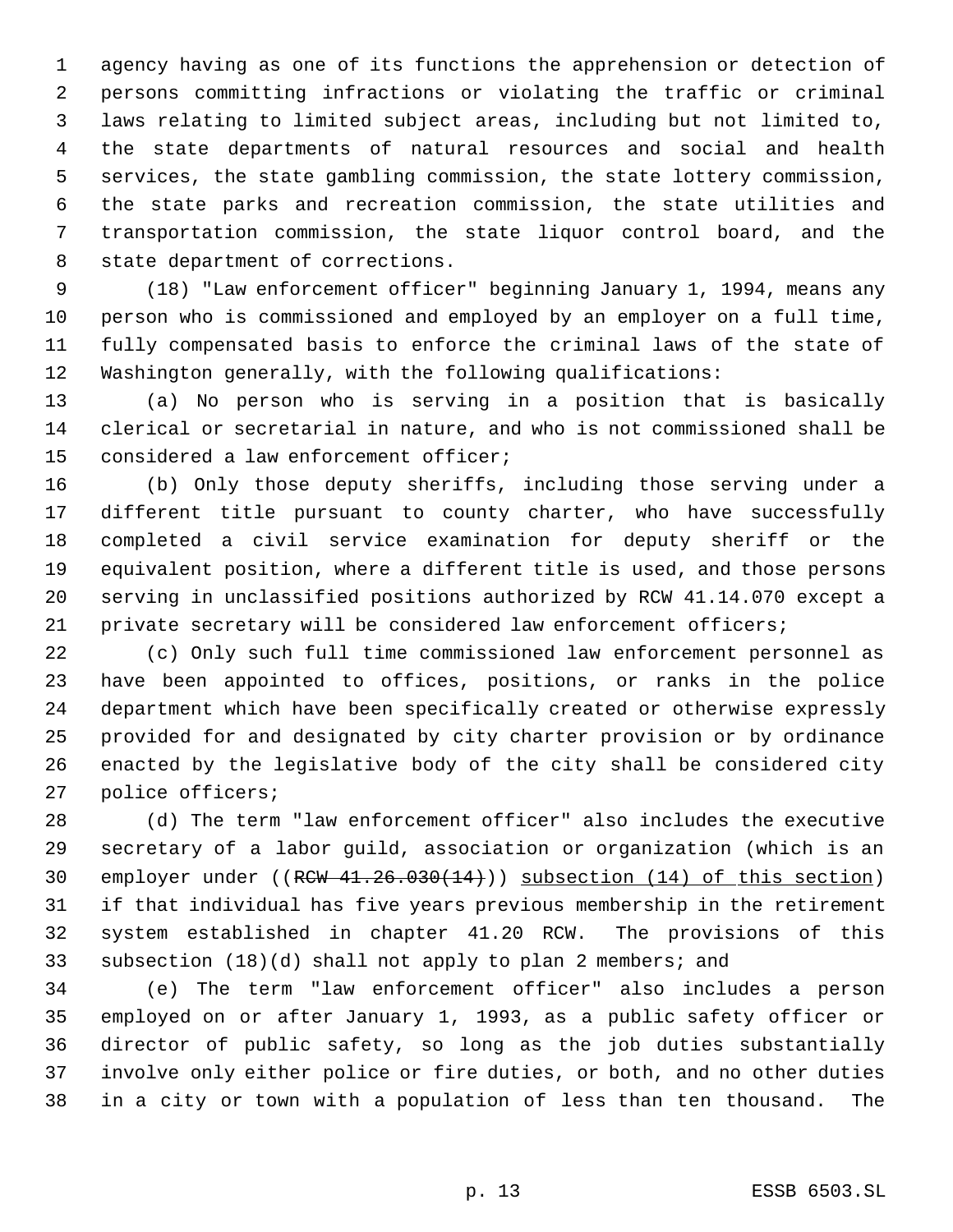agency having as one of its functions the apprehension or detection of persons committing infractions or violating the traffic or criminal laws relating to limited subject areas, including but not limited to, the state departments of natural resources and social and health services, the state gambling commission, the state lottery commission, the state parks and recreation commission, the state utilities and transportation commission, the state liquor control board, and the state department of corrections.

 (18) "Law enforcement officer" beginning January 1, 1994, means any person who is commissioned and employed by an employer on a full time, fully compensated basis to enforce the criminal laws of the state of Washington generally, with the following qualifications:

 (a) No person who is serving in a position that is basically clerical or secretarial in nature, and who is not commissioned shall be considered a law enforcement officer;

 (b) Only those deputy sheriffs, including those serving under a different title pursuant to county charter, who have successfully completed a civil service examination for deputy sheriff or the equivalent position, where a different title is used, and those persons serving in unclassified positions authorized by RCW 41.14.070 except a private secretary will be considered law enforcement officers;

 (c) Only such full time commissioned law enforcement personnel as have been appointed to offices, positions, or ranks in the police department which have been specifically created or otherwise expressly provided for and designated by city charter provision or by ordinance enacted by the legislative body of the city shall be considered city police officers;

 (d) The term "law enforcement officer" also includes the executive secretary of a labor guild, association or organization (which is an 30 employer under ((RCW 41.26.030(14))) subsection (14) of this section) if that individual has five years previous membership in the retirement system established in chapter 41.20 RCW. The provisions of this subsection (18)(d) shall not apply to plan 2 members; and

 (e) The term "law enforcement officer" also includes a person employed on or after January 1, 1993, as a public safety officer or director of public safety, so long as the job duties substantially involve only either police or fire duties, or both, and no other duties in a city or town with a population of less than ten thousand. The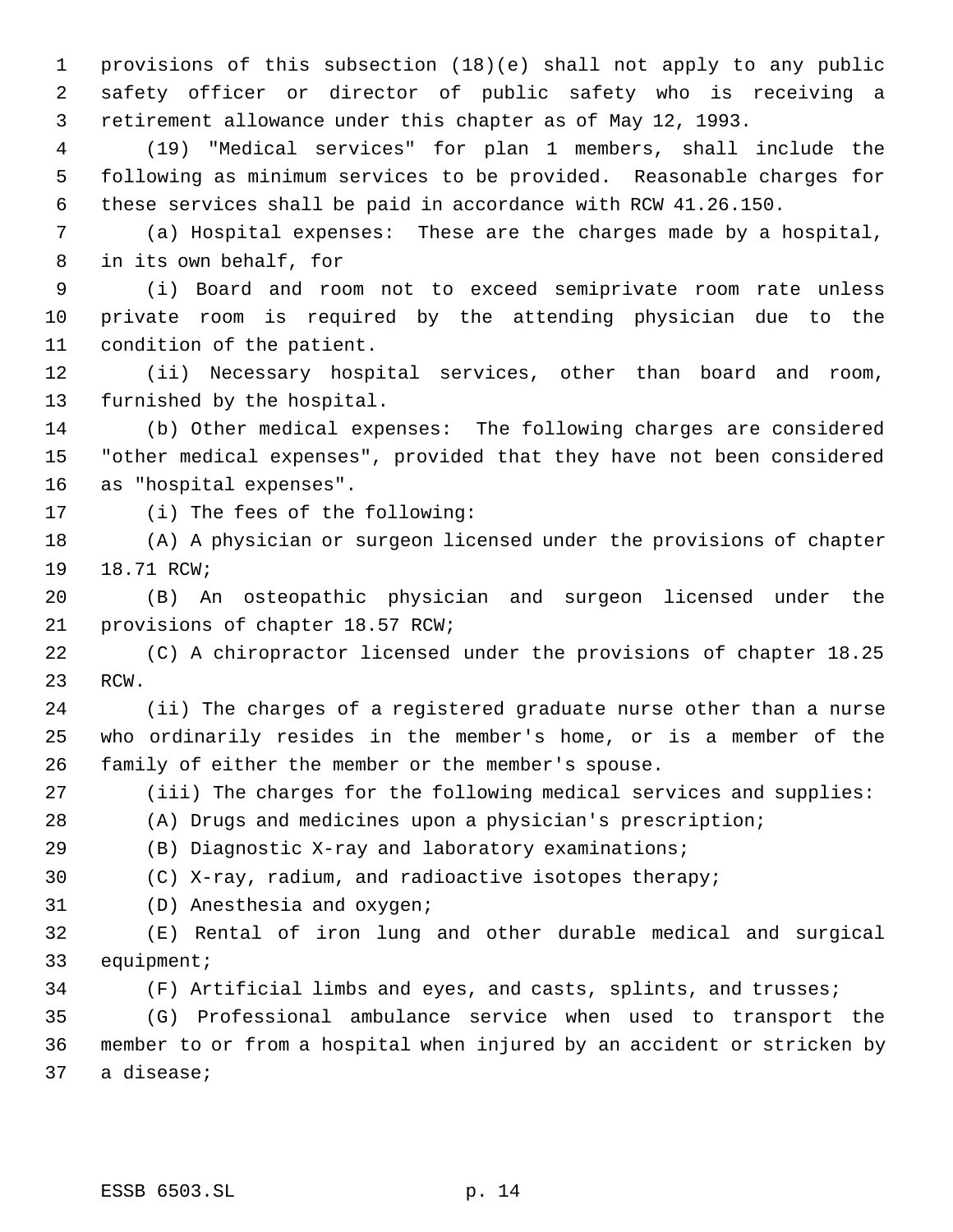provisions of this subsection (18)(e) shall not apply to any public safety officer or director of public safety who is receiving a retirement allowance under this chapter as of May 12, 1993.

 (19) "Medical services" for plan 1 members, shall include the following as minimum services to be provided. Reasonable charges for these services shall be paid in accordance with RCW 41.26.150.

 (a) Hospital expenses: These are the charges made by a hospital, in its own behalf, for

 (i) Board and room not to exceed semiprivate room rate unless private room is required by the attending physician due to the condition of the patient.

 (ii) Necessary hospital services, other than board and room, furnished by the hospital.

 (b) Other medical expenses: The following charges are considered "other medical expenses", provided that they have not been considered as "hospital expenses".

(i) The fees of the following:

 (A) A physician or surgeon licensed under the provisions of chapter 18.71 RCW;

 (B) An osteopathic physician and surgeon licensed under the provisions of chapter 18.57 RCW;

 (C) A chiropractor licensed under the provisions of chapter 18.25 RCW.

 (ii) The charges of a registered graduate nurse other than a nurse who ordinarily resides in the member's home, or is a member of the family of either the member or the member's spouse.

(iii) The charges for the following medical services and supplies:

(A) Drugs and medicines upon a physician's prescription;

(B) Diagnostic X-ray and laboratory examinations;

(C) X-ray, radium, and radioactive isotopes therapy;

(D) Anesthesia and oxygen;

 (E) Rental of iron lung and other durable medical and surgical equipment;

(F) Artificial limbs and eyes, and casts, splints, and trusses;

 (G) Professional ambulance service when used to transport the member to or from a hospital when injured by an accident or stricken by a disease;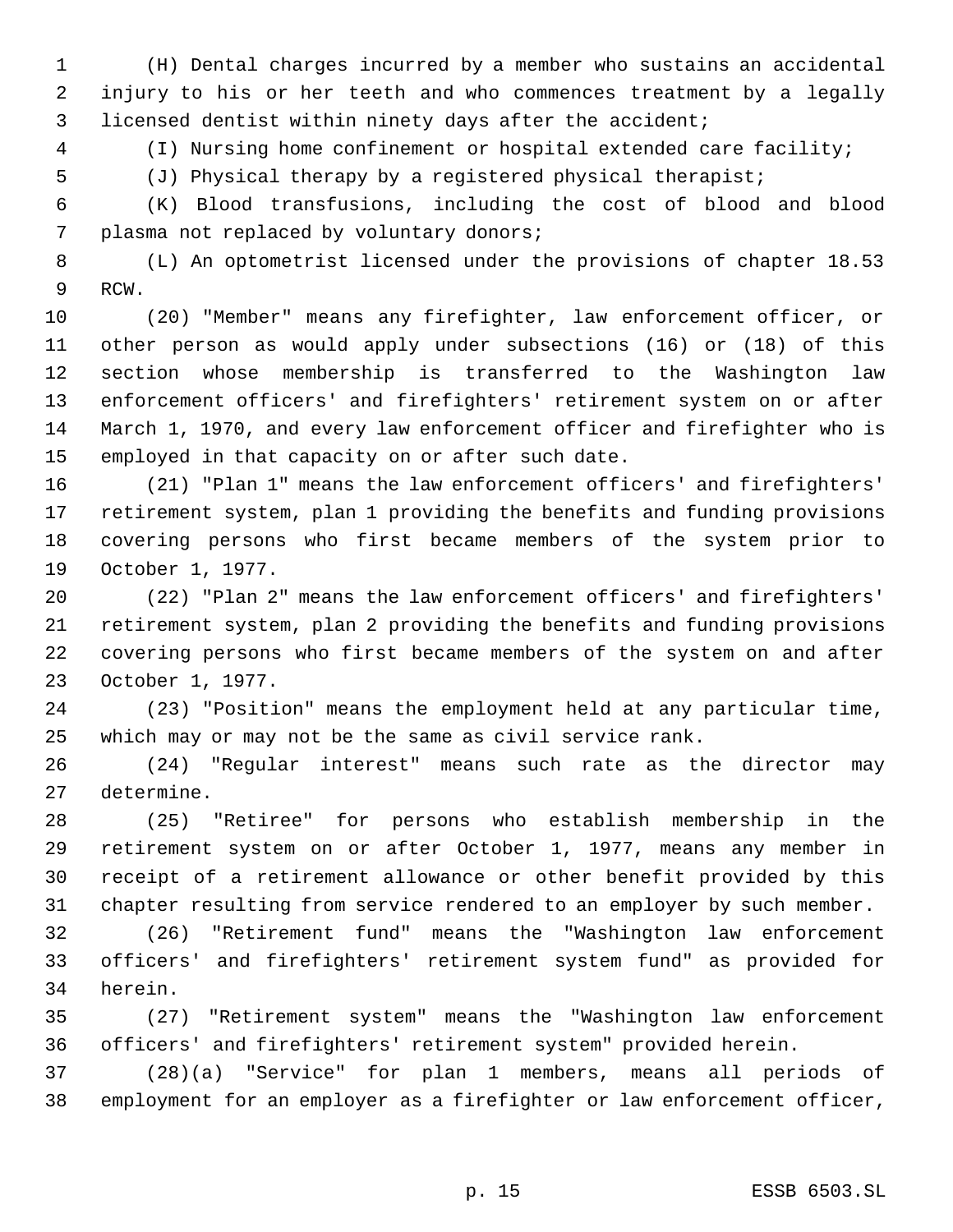(H) Dental charges incurred by a member who sustains an accidental injury to his or her teeth and who commences treatment by a legally licensed dentist within ninety days after the accident;

(I) Nursing home confinement or hospital extended care facility;

(J) Physical therapy by a registered physical therapist;

 (K) Blood transfusions, including the cost of blood and blood plasma not replaced by voluntary donors;

 (L) An optometrist licensed under the provisions of chapter 18.53 RCW.

 (20) "Member" means any firefighter, law enforcement officer, or other person as would apply under subsections (16) or (18) of this section whose membership is transferred to the Washington law enforcement officers' and firefighters' retirement system on or after March 1, 1970, and every law enforcement officer and firefighter who is employed in that capacity on or after such date.

 (21) "Plan 1" means the law enforcement officers' and firefighters' retirement system, plan 1 providing the benefits and funding provisions covering persons who first became members of the system prior to October 1, 1977.

 (22) "Plan 2" means the law enforcement officers' and firefighters' retirement system, plan 2 providing the benefits and funding provisions covering persons who first became members of the system on and after October 1, 1977.

 (23) "Position" means the employment held at any particular time, which may or may not be the same as civil service rank.

 (24) "Regular interest" means such rate as the director may determine.

 (25) "Retiree" for persons who establish membership in the retirement system on or after October 1, 1977, means any member in receipt of a retirement allowance or other benefit provided by this chapter resulting from service rendered to an employer by such member.

 (26) "Retirement fund" means the "Washington law enforcement officers' and firefighters' retirement system fund" as provided for herein.

 (27) "Retirement system" means the "Washington law enforcement officers' and firefighters' retirement system" provided herein.

 (28)(a) "Service" for plan 1 members, means all periods of employment for an employer as a firefighter or law enforcement officer,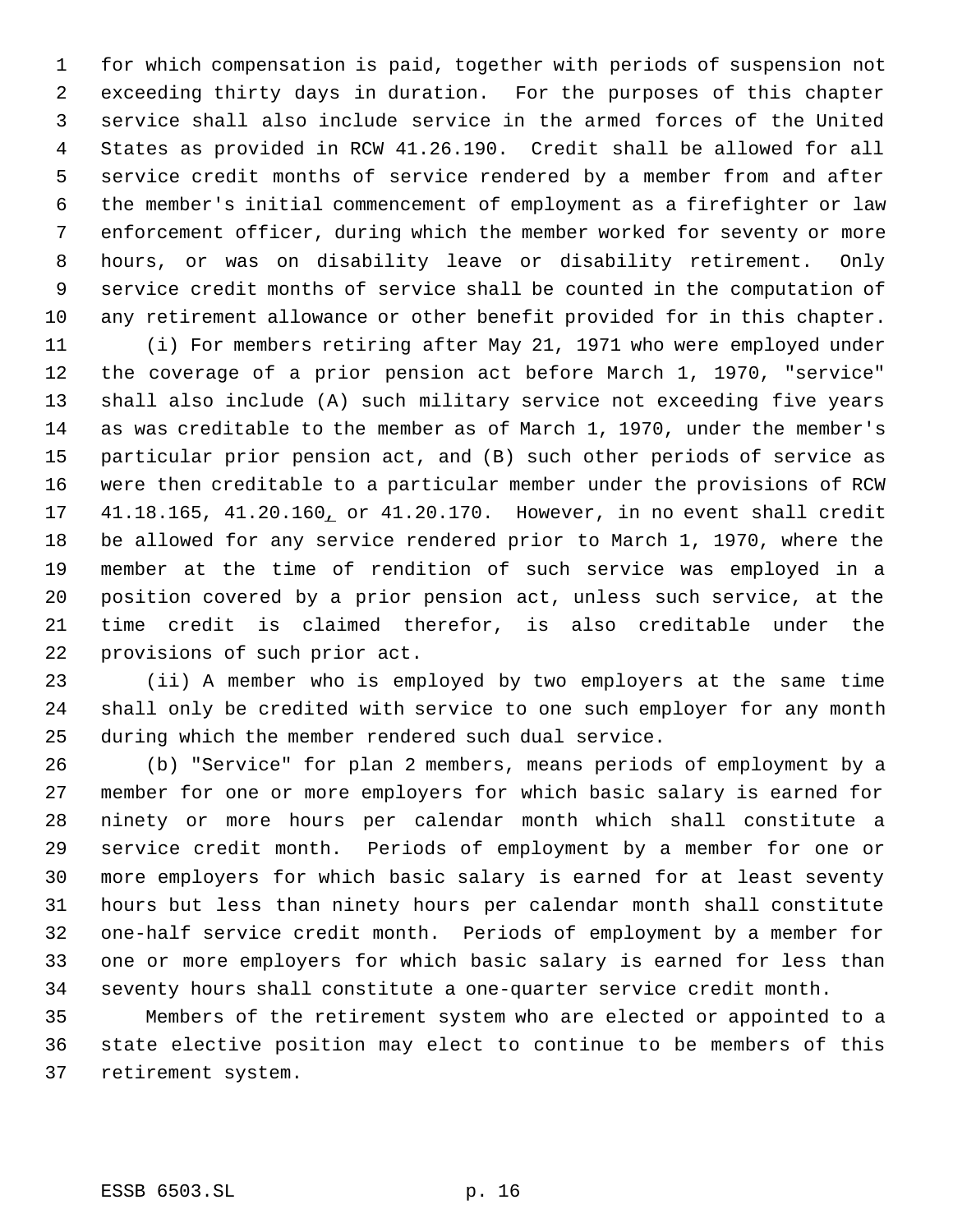for which compensation is paid, together with periods of suspension not exceeding thirty days in duration. For the purposes of this chapter service shall also include service in the armed forces of the United States as provided in RCW 41.26.190. Credit shall be allowed for all service credit months of service rendered by a member from and after the member's initial commencement of employment as a firefighter or law enforcement officer, during which the member worked for seventy or more hours, or was on disability leave or disability retirement. Only service credit months of service shall be counted in the computation of any retirement allowance or other benefit provided for in this chapter.

 (i) For members retiring after May 21, 1971 who were employed under the coverage of a prior pension act before March 1, 1970, "service" shall also include (A) such military service not exceeding five years as was creditable to the member as of March 1, 1970, under the member's particular prior pension act, and (B) such other periods of service as were then creditable to a particular member under the provisions of RCW 41.18.165, 41.20.160, or 41.20.170. However, in no event shall credit be allowed for any service rendered prior to March 1, 1970, where the member at the time of rendition of such service was employed in a position covered by a prior pension act, unless such service, at the time credit is claimed therefor, is also creditable under the provisions of such prior act.

 (ii) A member who is employed by two employers at the same time shall only be credited with service to one such employer for any month during which the member rendered such dual service.

 (b) "Service" for plan 2 members, means periods of employment by a member for one or more employers for which basic salary is earned for ninety or more hours per calendar month which shall constitute a service credit month. Periods of employment by a member for one or more employers for which basic salary is earned for at least seventy hours but less than ninety hours per calendar month shall constitute one-half service credit month. Periods of employment by a member for one or more employers for which basic salary is earned for less than seventy hours shall constitute a one-quarter service credit month.

 Members of the retirement system who are elected or appointed to a state elective position may elect to continue to be members of this retirement system.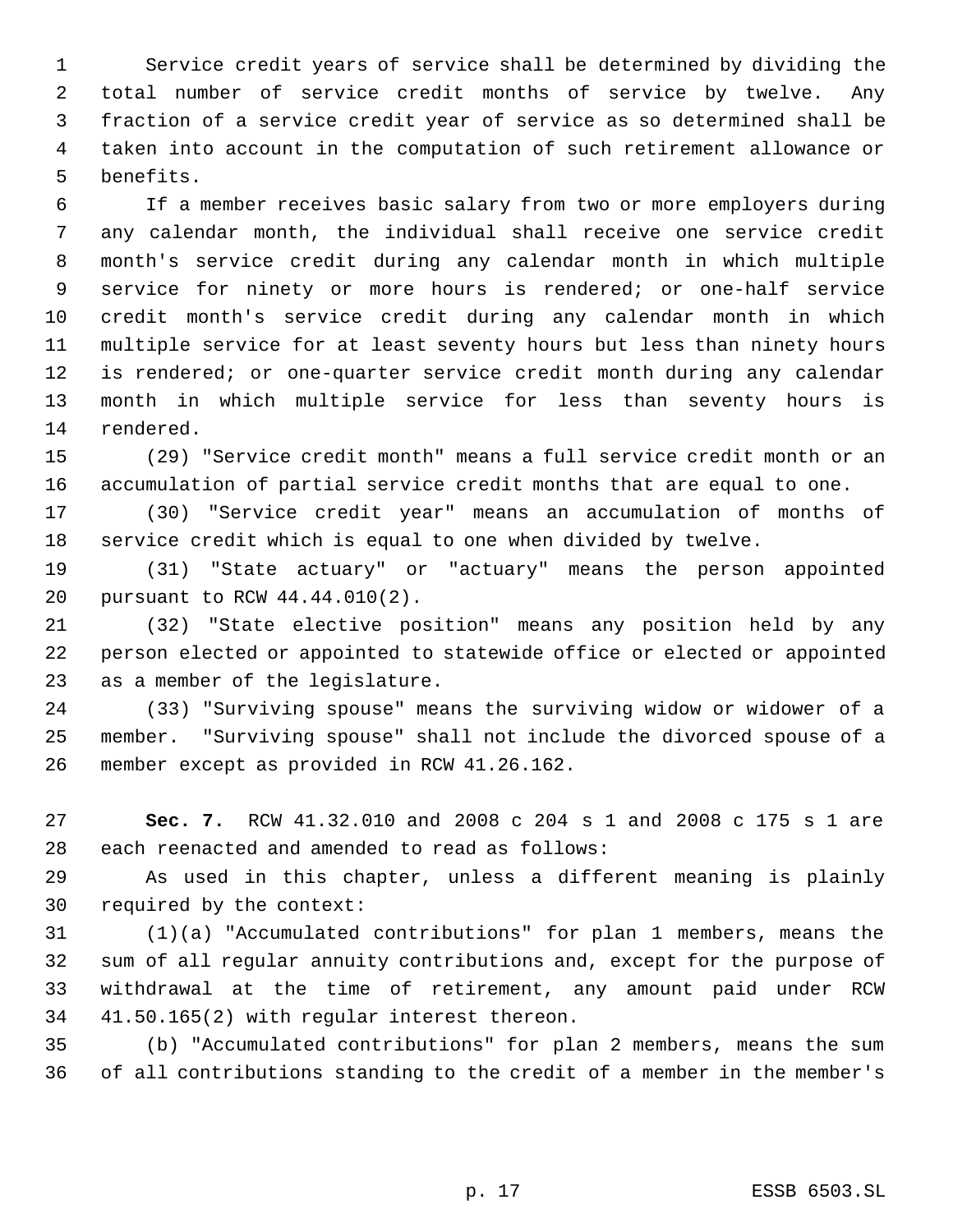Service credit years of service shall be determined by dividing the total number of service credit months of service by twelve. Any fraction of a service credit year of service as so determined shall be taken into account in the computation of such retirement allowance or benefits.

 If a member receives basic salary from two or more employers during any calendar month, the individual shall receive one service credit month's service credit during any calendar month in which multiple service for ninety or more hours is rendered; or one-half service credit month's service credit during any calendar month in which multiple service for at least seventy hours but less than ninety hours is rendered; or one-quarter service credit month during any calendar month in which multiple service for less than seventy hours is rendered.

 (29) "Service credit month" means a full service credit month or an accumulation of partial service credit months that are equal to one.

 (30) "Service credit year" means an accumulation of months of service credit which is equal to one when divided by twelve.

 (31) "State actuary" or "actuary" means the person appointed pursuant to RCW 44.44.010(2).

 (32) "State elective position" means any position held by any person elected or appointed to statewide office or elected or appointed as a member of the legislature.

 (33) "Surviving spouse" means the surviving widow or widower of a member. "Surviving spouse" shall not include the divorced spouse of a member except as provided in RCW 41.26.162.

 **Sec. 7.** RCW 41.32.010 and 2008 c 204 s 1 and 2008 c 175 s 1 are each reenacted and amended to read as follows:

 As used in this chapter, unless a different meaning is plainly required by the context:

 (1)(a) "Accumulated contributions" for plan 1 members, means the sum of all regular annuity contributions and, except for the purpose of withdrawal at the time of retirement, any amount paid under RCW 41.50.165(2) with regular interest thereon.

 (b) "Accumulated contributions" for plan 2 members, means the sum of all contributions standing to the credit of a member in the member's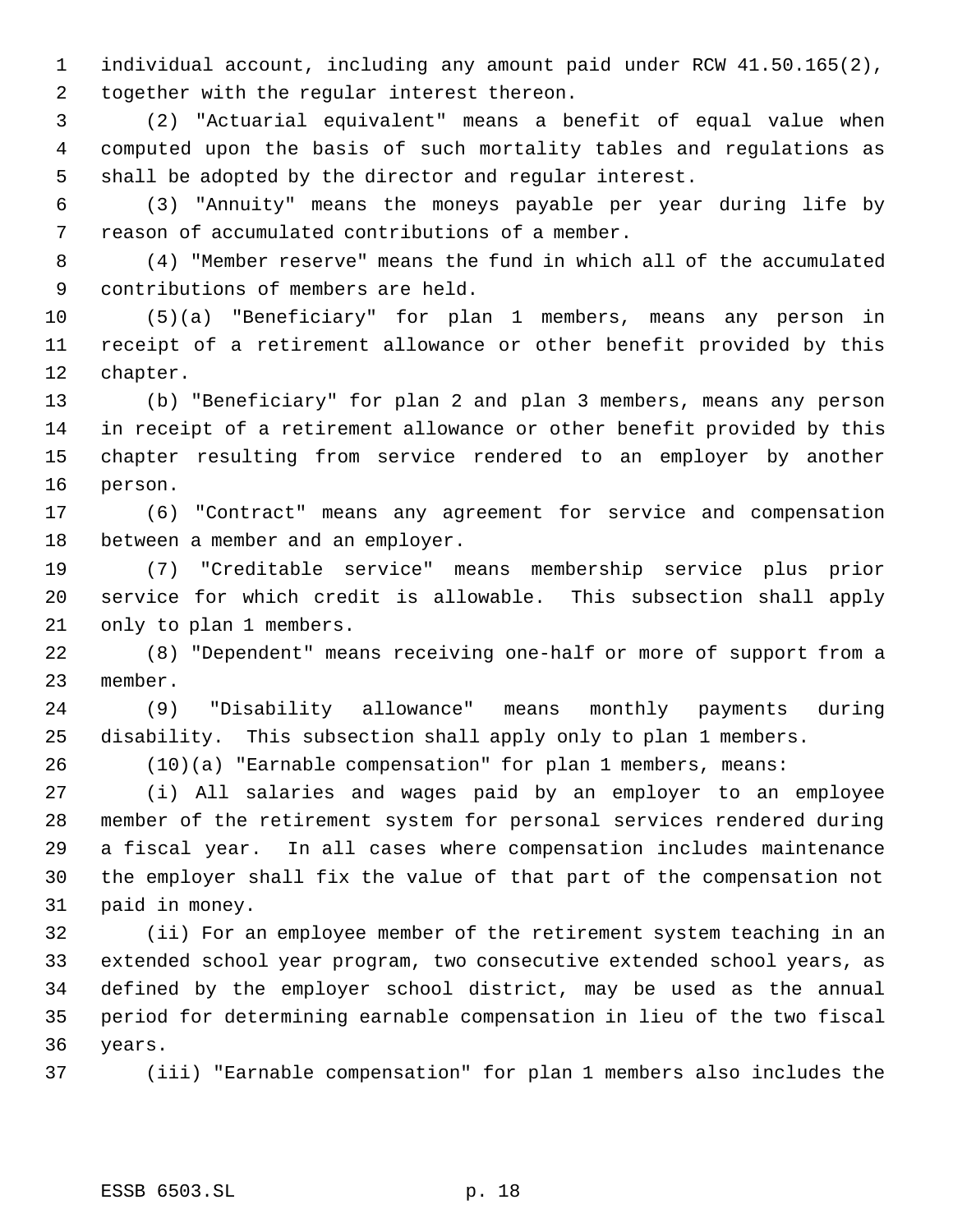individual account, including any amount paid under RCW 41.50.165(2), together with the regular interest thereon.

 (2) "Actuarial equivalent" means a benefit of equal value when computed upon the basis of such mortality tables and regulations as shall be adopted by the director and regular interest.

 (3) "Annuity" means the moneys payable per year during life by reason of accumulated contributions of a member.

 (4) "Member reserve" means the fund in which all of the accumulated contributions of members are held.

 (5)(a) "Beneficiary" for plan 1 members, means any person in receipt of a retirement allowance or other benefit provided by this chapter.

 (b) "Beneficiary" for plan 2 and plan 3 members, means any person in receipt of a retirement allowance or other benefit provided by this chapter resulting from service rendered to an employer by another person.

 (6) "Contract" means any agreement for service and compensation between a member and an employer.

 (7) "Creditable service" means membership service plus prior service for which credit is allowable. This subsection shall apply only to plan 1 members.

 (8) "Dependent" means receiving one-half or more of support from a member.

 (9) "Disability allowance" means monthly payments during disability. This subsection shall apply only to plan 1 members.

(10)(a) "Earnable compensation" for plan 1 members, means:

 (i) All salaries and wages paid by an employer to an employee member of the retirement system for personal services rendered during a fiscal year. In all cases where compensation includes maintenance the employer shall fix the value of that part of the compensation not paid in money.

 (ii) For an employee member of the retirement system teaching in an extended school year program, two consecutive extended school years, as defined by the employer school district, may be used as the annual period for determining earnable compensation in lieu of the two fiscal years.

(iii) "Earnable compensation" for plan 1 members also includes the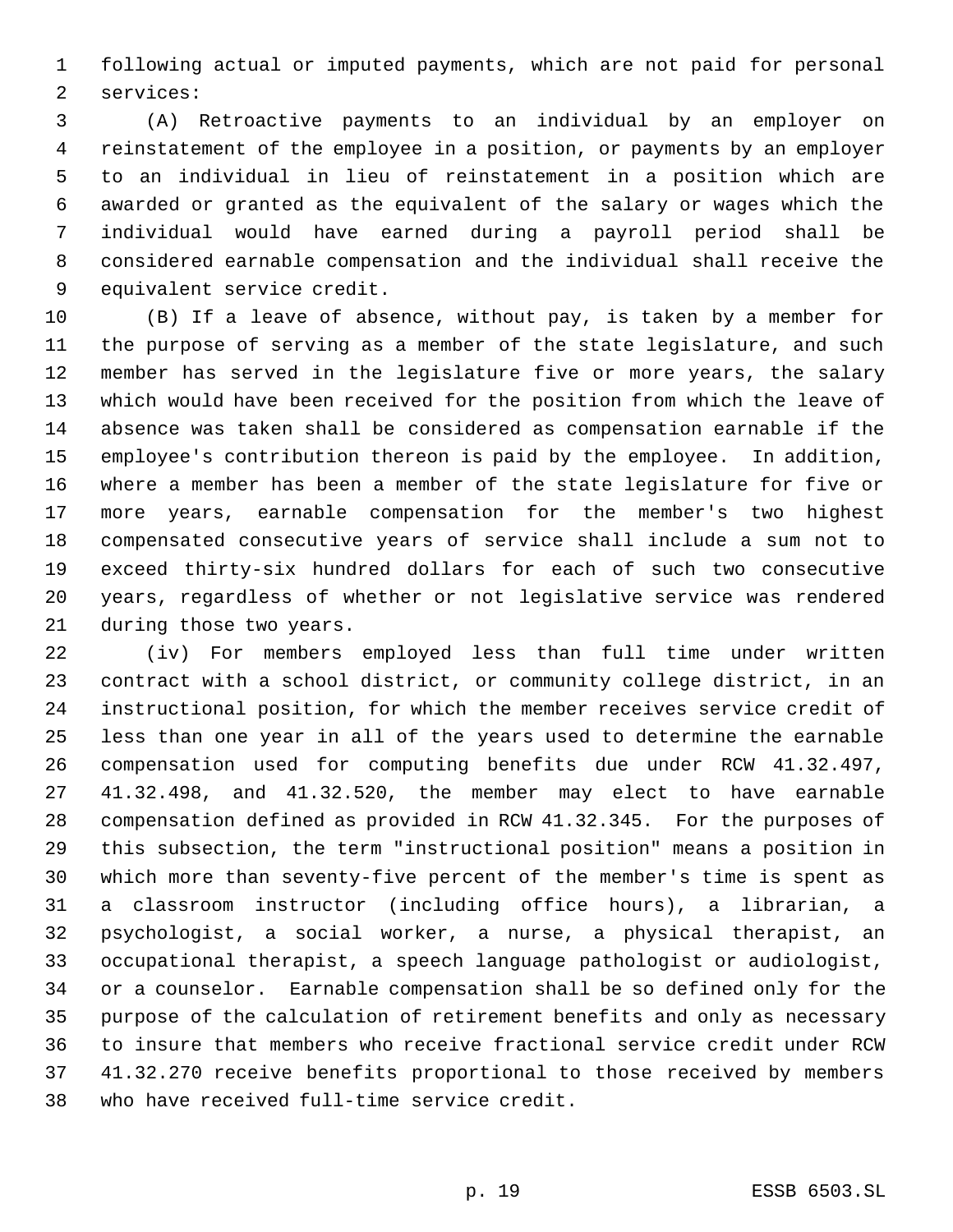following actual or imputed payments, which are not paid for personal services:

 (A) Retroactive payments to an individual by an employer on reinstatement of the employee in a position, or payments by an employer to an individual in lieu of reinstatement in a position which are awarded or granted as the equivalent of the salary or wages which the individual would have earned during a payroll period shall be considered earnable compensation and the individual shall receive the equivalent service credit.

 (B) If a leave of absence, without pay, is taken by a member for the purpose of serving as a member of the state legislature, and such member has served in the legislature five or more years, the salary which would have been received for the position from which the leave of absence was taken shall be considered as compensation earnable if the employee's contribution thereon is paid by the employee. In addition, where a member has been a member of the state legislature for five or more years, earnable compensation for the member's two highest compensated consecutive years of service shall include a sum not to exceed thirty-six hundred dollars for each of such two consecutive years, regardless of whether or not legislative service was rendered during those two years.

 (iv) For members employed less than full time under written contract with a school district, or community college district, in an instructional position, for which the member receives service credit of less than one year in all of the years used to determine the earnable compensation used for computing benefits due under RCW 41.32.497, 41.32.498, and 41.32.520, the member may elect to have earnable compensation defined as provided in RCW 41.32.345. For the purposes of this subsection, the term "instructional position" means a position in which more than seventy-five percent of the member's time is spent as a classroom instructor (including office hours), a librarian, a psychologist, a social worker, a nurse, a physical therapist, an occupational therapist, a speech language pathologist or audiologist, or a counselor. Earnable compensation shall be so defined only for the purpose of the calculation of retirement benefits and only as necessary to insure that members who receive fractional service credit under RCW 41.32.270 receive benefits proportional to those received by members who have received full-time service credit.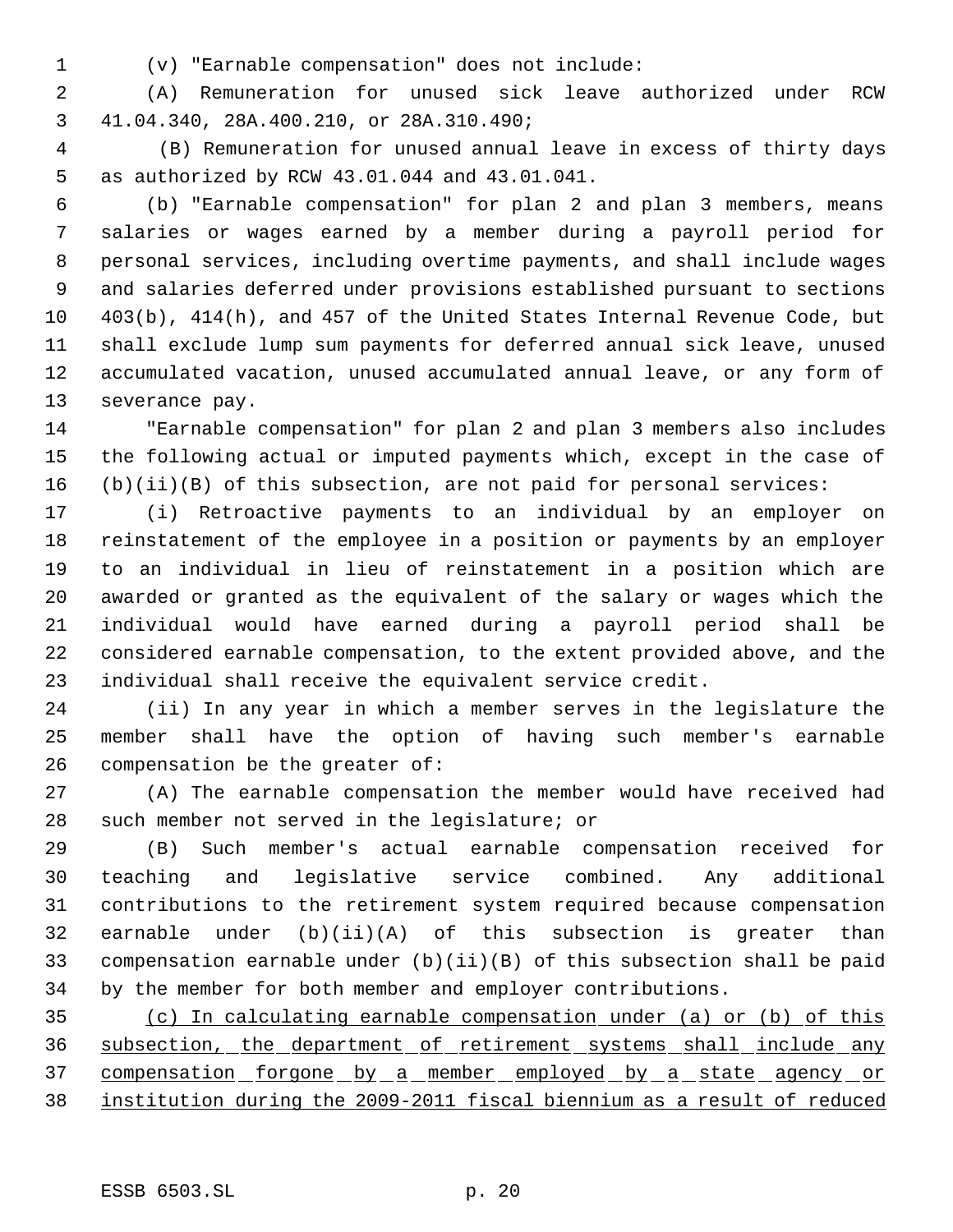- 
- (v) "Earnable compensation" does not include:

 (A) Remuneration for unused sick leave authorized under RCW 41.04.340, 28A.400.210, or 28A.310.490;

 4 (B) Remuneration for unused annual leave in excess of thirty days as authorized by RCW 43.01.044 and 43.01.041.

 (b) "Earnable compensation" for plan 2 and plan 3 members, means salaries or wages earned by a member during a payroll period for personal services, including overtime payments, and shall include wages and salaries deferred under provisions established pursuant to sections 403(b), 414(h), and 457 of the United States Internal Revenue Code, but shall exclude lump sum payments for deferred annual sick leave, unused accumulated vacation, unused accumulated annual leave, or any form of severance pay.

 "Earnable compensation" for plan 2 and plan 3 members also includes the following actual or imputed payments which, except in the case of (b)(ii)(B) of this subsection, are not paid for personal services:

 (i) Retroactive payments to an individual by an employer on reinstatement of the employee in a position or payments by an employer to an individual in lieu of reinstatement in a position which are awarded or granted as the equivalent of the salary or wages which the individual would have earned during a payroll period shall be considered earnable compensation, to the extent provided above, and the individual shall receive the equivalent service credit.

 (ii) In any year in which a member serves in the legislature the member shall have the option of having such member's earnable compensation be the greater of:

 (A) The earnable compensation the member would have received had such member not served in the legislature; or

 (B) Such member's actual earnable compensation received for teaching and legislative service combined. Any additional contributions to the retirement system required because compensation earnable under (b)(ii)(A) of this subsection is greater than compensation earnable under (b)(ii)(B) of this subsection shall be paid by the member for both member and employer contributions.

 (c) In calculating earnable compensation under (a) or (b) of this 36 subsection, the department of retirement systems shall include any 37 compensation forgone by a member employed by a state agency or institution during the 2009-2011 fiscal biennium as a result of reduced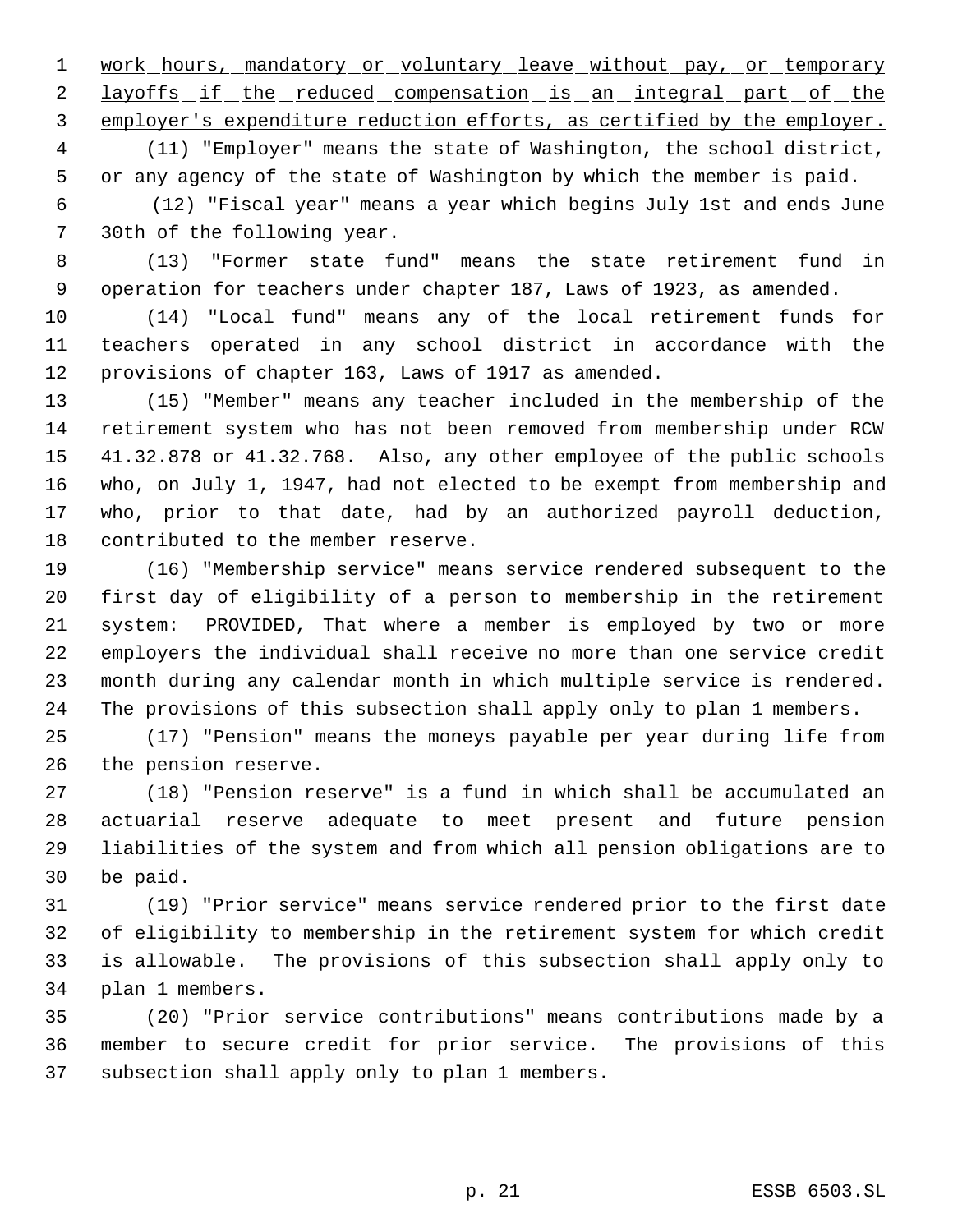1 work hours, mandatory or voluntary leave without pay, or temporary 2 layoffs if the reduced compensation is an integral part of the employer's expenditure reduction efforts, as certified by the employer.

 (11) "Employer" means the state of Washington, the school district, or any agency of the state of Washington by which the member is paid.

 6 (12) "Fiscal year" means a year which begins July 1st and ends June 30th of the following year.

 (13) "Former state fund" means the state retirement fund in operation for teachers under chapter 187, Laws of 1923, as amended.

 (14) "Local fund" means any of the local retirement funds for teachers operated in any school district in accordance with the provisions of chapter 163, Laws of 1917 as amended.

 (15) "Member" means any teacher included in the membership of the retirement system who has not been removed from membership under RCW 41.32.878 or 41.32.768. Also, any other employee of the public schools who, on July 1, 1947, had not elected to be exempt from membership and who, prior to that date, had by an authorized payroll deduction, contributed to the member reserve.

 (16) "Membership service" means service rendered subsequent to the first day of eligibility of a person to membership in the retirement system: PROVIDED, That where a member is employed by two or more employers the individual shall receive no more than one service credit month during any calendar month in which multiple service is rendered. The provisions of this subsection shall apply only to plan 1 members.

 (17) "Pension" means the moneys payable per year during life from the pension reserve.

 (18) "Pension reserve" is a fund in which shall be accumulated an actuarial reserve adequate to meet present and future pension liabilities of the system and from which all pension obligations are to be paid.

 (19) "Prior service" means service rendered prior to the first date of eligibility to membership in the retirement system for which credit is allowable. The provisions of this subsection shall apply only to plan 1 members.

 (20) "Prior service contributions" means contributions made by a member to secure credit for prior service. The provisions of this subsection shall apply only to plan 1 members.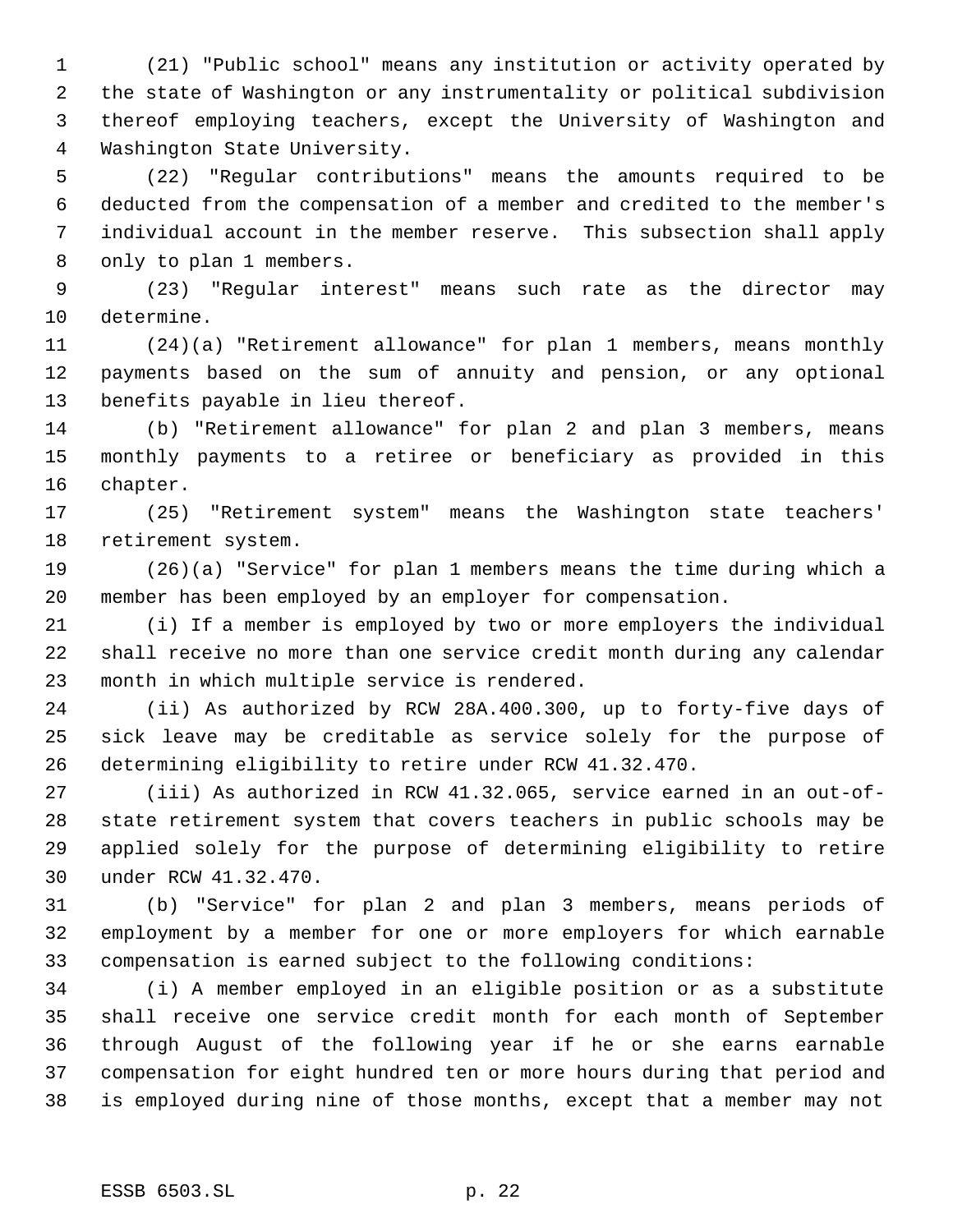(21) "Public school" means any institution or activity operated by the state of Washington or any instrumentality or political subdivision thereof employing teachers, except the University of Washington and Washington State University.

 (22) "Regular contributions" means the amounts required to be deducted from the compensation of a member and credited to the member's individual account in the member reserve. This subsection shall apply only to plan 1 members.

 (23) "Regular interest" means such rate as the director may determine.

 (24)(a) "Retirement allowance" for plan 1 members, means monthly payments based on the sum of annuity and pension, or any optional benefits payable in lieu thereof.

 (b) "Retirement allowance" for plan 2 and plan 3 members, means monthly payments to a retiree or beneficiary as provided in this chapter.

 (25) "Retirement system" means the Washington state teachers' retirement system.

 (26)(a) "Service" for plan 1 members means the time during which a member has been employed by an employer for compensation.

 (i) If a member is employed by two or more employers the individual shall receive no more than one service credit month during any calendar month in which multiple service is rendered.

 (ii) As authorized by RCW 28A.400.300, up to forty-five days of sick leave may be creditable as service solely for the purpose of determining eligibility to retire under RCW 41.32.470.

 (iii) As authorized in RCW 41.32.065, service earned in an out-of- state retirement system that covers teachers in public schools may be applied solely for the purpose of determining eligibility to retire under RCW 41.32.470.

 (b) "Service" for plan 2 and plan 3 members, means periods of employment by a member for one or more employers for which earnable compensation is earned subject to the following conditions:

 (i) A member employed in an eligible position or as a substitute shall receive one service credit month for each month of September through August of the following year if he or she earns earnable compensation for eight hundred ten or more hours during that period and is employed during nine of those months, except that a member may not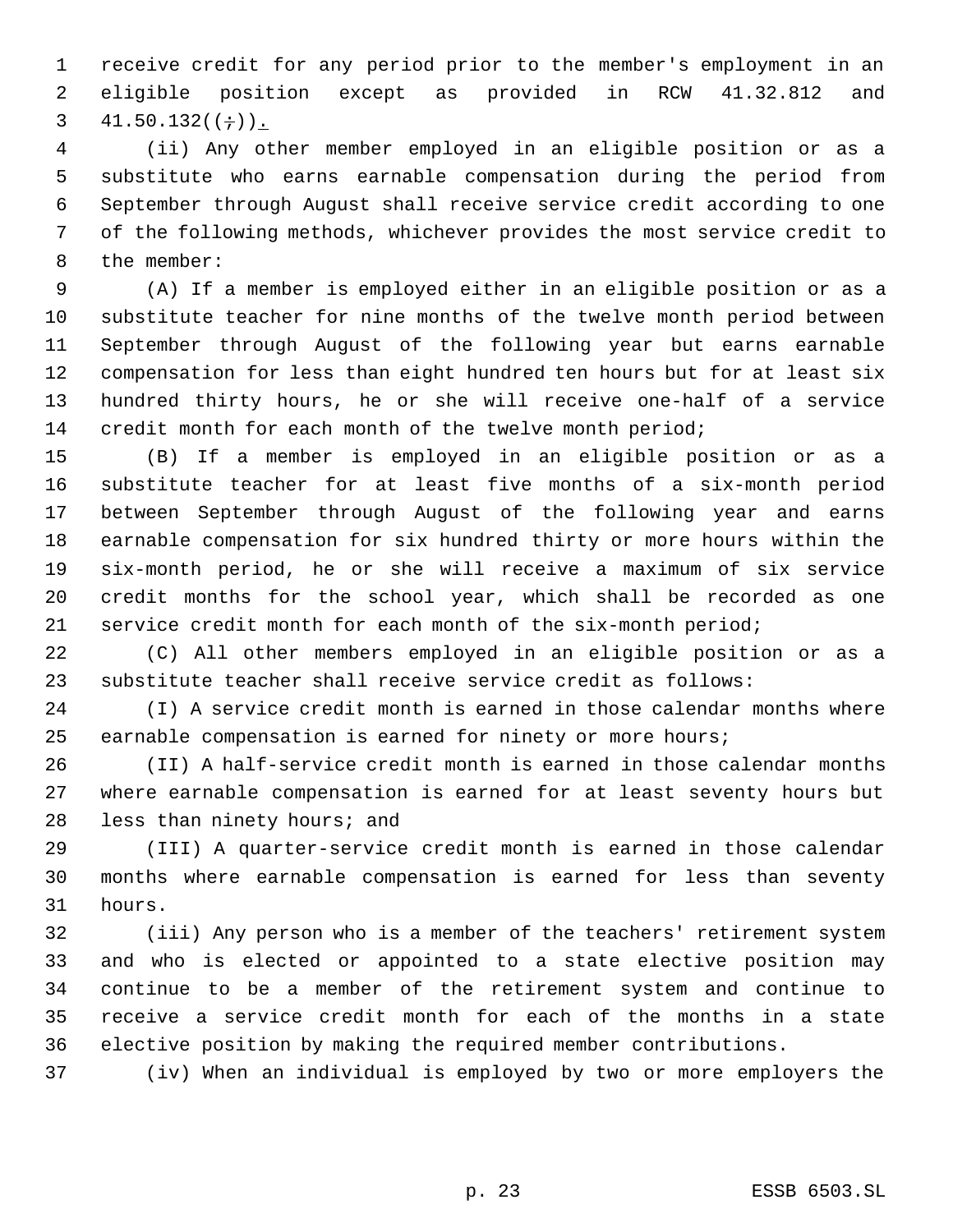receive credit for any period prior to the member's employment in an eligible position except as provided in RCW 41.32.812 and 3  $41.50.132((\div))$ .

 (ii) Any other member employed in an eligible position or as a substitute who earns earnable compensation during the period from September through August shall receive service credit according to one of the following methods, whichever provides the most service credit to the member:

 (A) If a member is employed either in an eligible position or as a substitute teacher for nine months of the twelve month period between September through August of the following year but earns earnable compensation for less than eight hundred ten hours but for at least six hundred thirty hours, he or she will receive one-half of a service credit month for each month of the twelve month period;

 (B) If a member is employed in an eligible position or as a substitute teacher for at least five months of a six-month period between September through August of the following year and earns earnable compensation for six hundred thirty or more hours within the six-month period, he or she will receive a maximum of six service credit months for the school year, which shall be recorded as one service credit month for each month of the six-month period;

 (C) All other members employed in an eligible position or as a substitute teacher shall receive service credit as follows:

 (I) A service credit month is earned in those calendar months where earnable compensation is earned for ninety or more hours;

 (II) A half-service credit month is earned in those calendar months where earnable compensation is earned for at least seventy hours but less than ninety hours; and

 (III) A quarter-service credit month is earned in those calendar months where earnable compensation is earned for less than seventy hours.

 (iii) Any person who is a member of the teachers' retirement system and who is elected or appointed to a state elective position may continue to be a member of the retirement system and continue to receive a service credit month for each of the months in a state elective position by making the required member contributions.

(iv) When an individual is employed by two or more employers the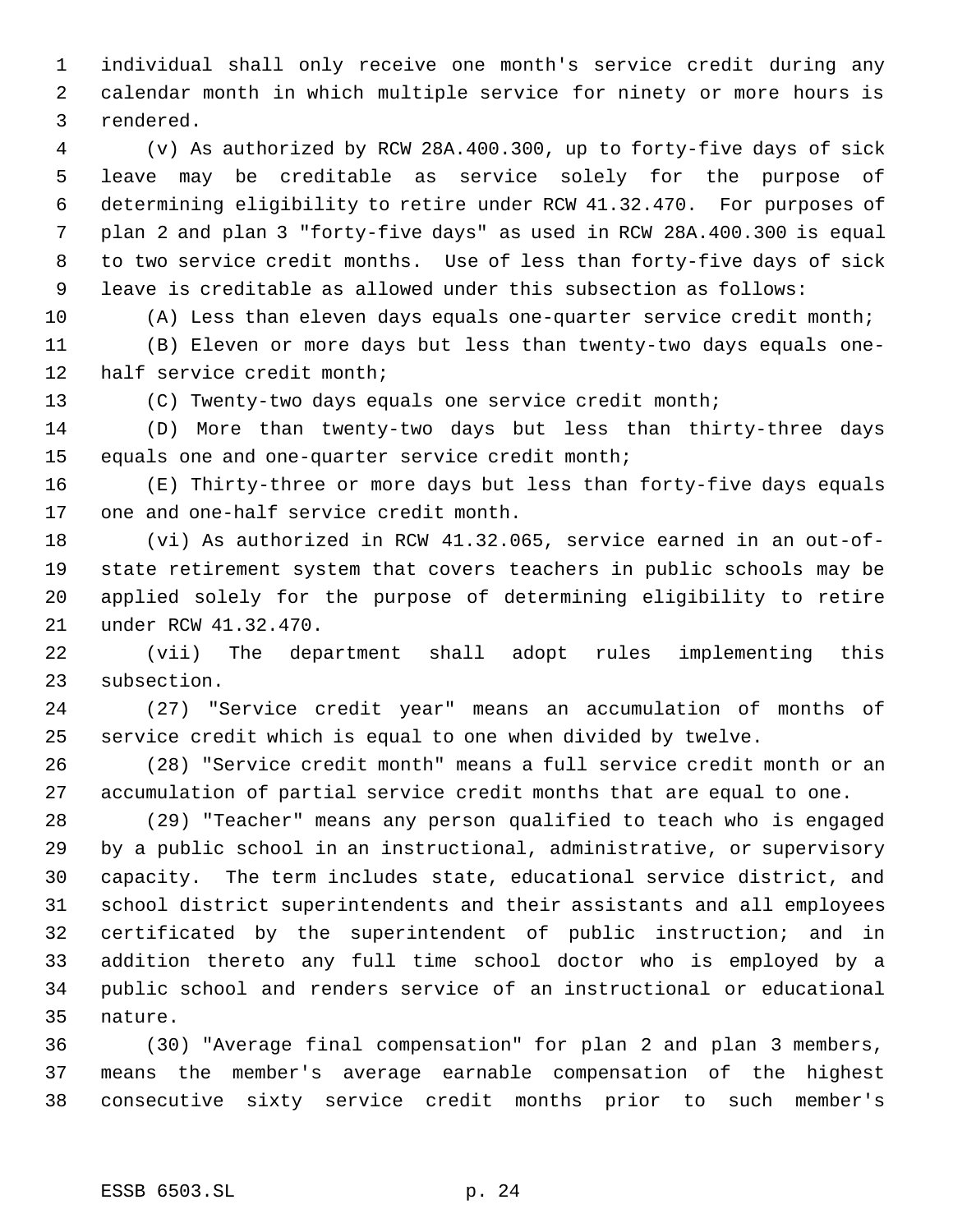individual shall only receive one month's service credit during any calendar month in which multiple service for ninety or more hours is rendered.

 (v) As authorized by RCW 28A.400.300, up to forty-five days of sick leave may be creditable as service solely for the purpose of determining eligibility to retire under RCW 41.32.470. For purposes of plan 2 and plan 3 "forty-five days" as used in RCW 28A.400.300 is equal to two service credit months. Use of less than forty-five days of sick leave is creditable as allowed under this subsection as follows:

(A) Less than eleven days equals one-quarter service credit month;

 (B) Eleven or more days but less than twenty-two days equals one-half service credit month;

(C) Twenty-two days equals one service credit month;

 (D) More than twenty-two days but less than thirty-three days equals one and one-quarter service credit month;

 (E) Thirty-three or more days but less than forty-five days equals one and one-half service credit month.

 (vi) As authorized in RCW 41.32.065, service earned in an out-of- state retirement system that covers teachers in public schools may be applied solely for the purpose of determining eligibility to retire under RCW 41.32.470.

 (vii) The department shall adopt rules implementing this subsection.

 (27) "Service credit year" means an accumulation of months of service credit which is equal to one when divided by twelve.

 (28) "Service credit month" means a full service credit month or an accumulation of partial service credit months that are equal to one.

 (29) "Teacher" means any person qualified to teach who is engaged by a public school in an instructional, administrative, or supervisory capacity. The term includes state, educational service district, and school district superintendents and their assistants and all employees certificated by the superintendent of public instruction; and in addition thereto any full time school doctor who is employed by a public school and renders service of an instructional or educational nature.

 (30) "Average final compensation" for plan 2 and plan 3 members, means the member's average earnable compensation of the highest consecutive sixty service credit months prior to such member's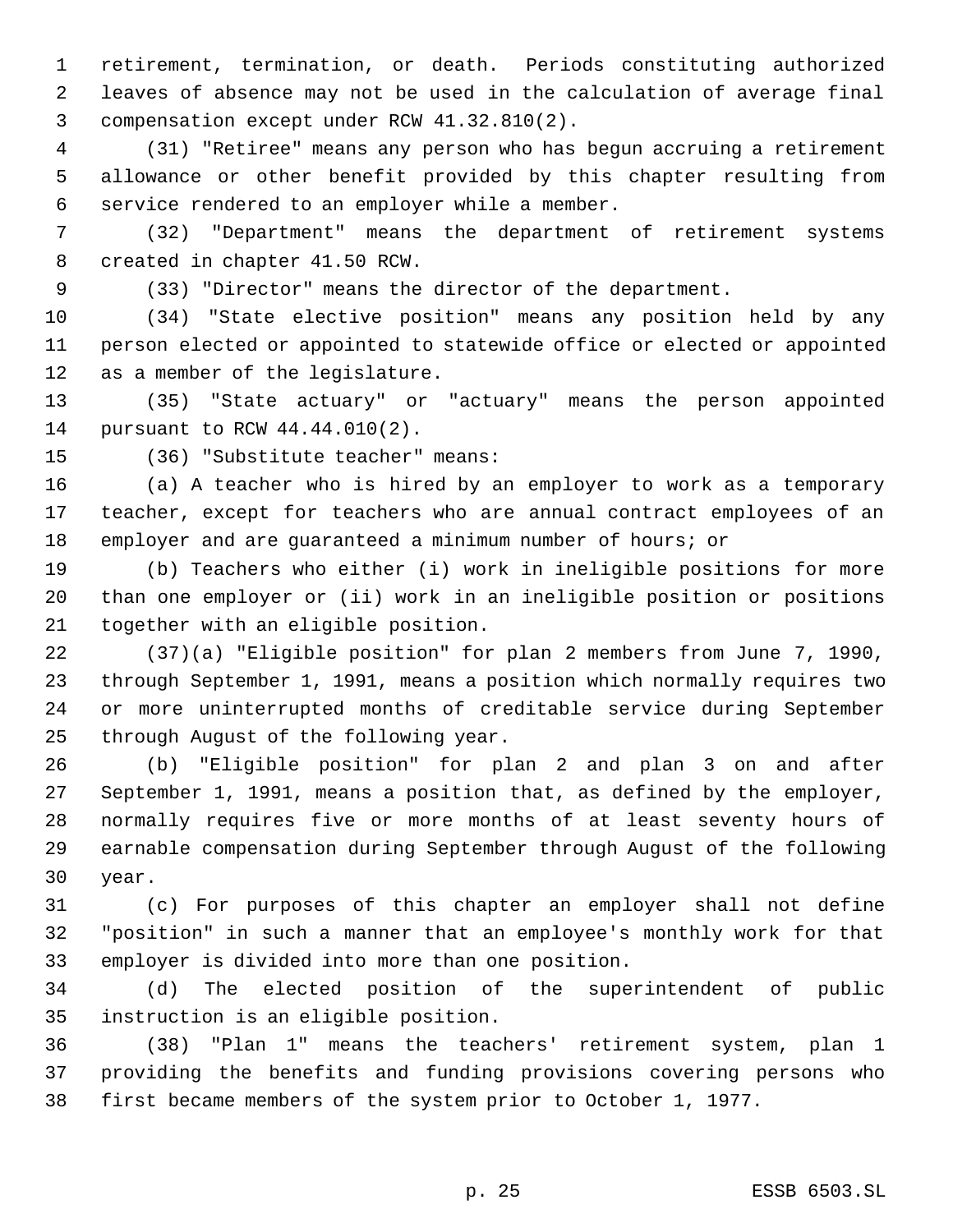retirement, termination, or death. Periods constituting authorized leaves of absence may not be used in the calculation of average final compensation except under RCW 41.32.810(2).

 (31) "Retiree" means any person who has begun accruing a retirement allowance or other benefit provided by this chapter resulting from service rendered to an employer while a member.

 (32) "Department" means the department of retirement systems created in chapter 41.50 RCW.

(33) "Director" means the director of the department.

 (34) "State elective position" means any position held by any person elected or appointed to statewide office or elected or appointed as a member of the legislature.

 (35) "State actuary" or "actuary" means the person appointed pursuant to RCW 44.44.010(2).

(36) "Substitute teacher" means:

 (a) A teacher who is hired by an employer to work as a temporary teacher, except for teachers who are annual contract employees of an employer and are guaranteed a minimum number of hours; or

 (b) Teachers who either (i) work in ineligible positions for more than one employer or (ii) work in an ineligible position or positions together with an eligible position.

 (37)(a) "Eligible position" for plan 2 members from June 7, 1990, through September 1, 1991, means a position which normally requires two or more uninterrupted months of creditable service during September through August of the following year.

 (b) "Eligible position" for plan 2 and plan 3 on and after September 1, 1991, means a position that, as defined by the employer, normally requires five or more months of at least seventy hours of earnable compensation during September through August of the following year.

 (c) For purposes of this chapter an employer shall not define "position" in such a manner that an employee's monthly work for that employer is divided into more than one position.

 (d) The elected position of the superintendent of public instruction is an eligible position.

 (38) "Plan 1" means the teachers' retirement system, plan 1 providing the benefits and funding provisions covering persons who first became members of the system prior to October 1, 1977.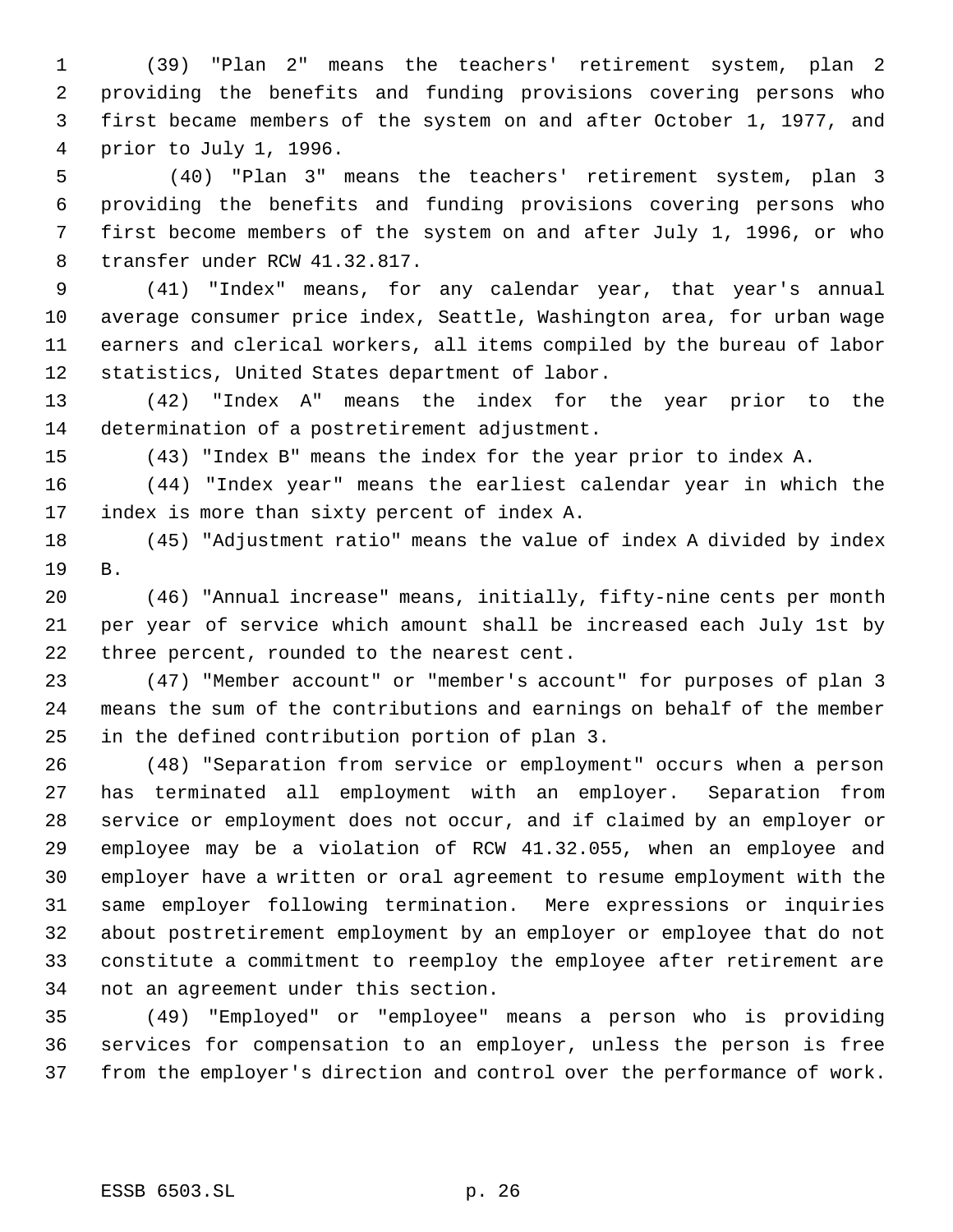(39) "Plan 2" means the teachers' retirement system, plan 2 providing the benefits and funding provisions covering persons who first became members of the system on and after October 1, 1977, and prior to July 1, 1996.

 5 (40) "Plan 3" means the teachers' retirement system, plan 3 providing the benefits and funding provisions covering persons who first become members of the system on and after July 1, 1996, or who transfer under RCW 41.32.817.

 (41) "Index" means, for any calendar year, that year's annual average consumer price index, Seattle, Washington area, for urban wage earners and clerical workers, all items compiled by the bureau of labor statistics, United States department of labor.

 (42) "Index A" means the index for the year prior to the determination of a postretirement adjustment.

(43) "Index B" means the index for the year prior to index A.

 (44) "Index year" means the earliest calendar year in which the index is more than sixty percent of index A.

 (45) "Adjustment ratio" means the value of index A divided by index B.

 (46) "Annual increase" means, initially, fifty-nine cents per month per year of service which amount shall be increased each July 1st by three percent, rounded to the nearest cent.

 (47) "Member account" or "member's account" for purposes of plan 3 means the sum of the contributions and earnings on behalf of the member in the defined contribution portion of plan 3.

 (48) "Separation from service or employment" occurs when a person has terminated all employment with an employer. Separation from service or employment does not occur, and if claimed by an employer or employee may be a violation of RCW 41.32.055, when an employee and employer have a written or oral agreement to resume employment with the same employer following termination. Mere expressions or inquiries about postretirement employment by an employer or employee that do not constitute a commitment to reemploy the employee after retirement are not an agreement under this section.

 (49) "Employed" or "employee" means a person who is providing services for compensation to an employer, unless the person is free from the employer's direction and control over the performance of work.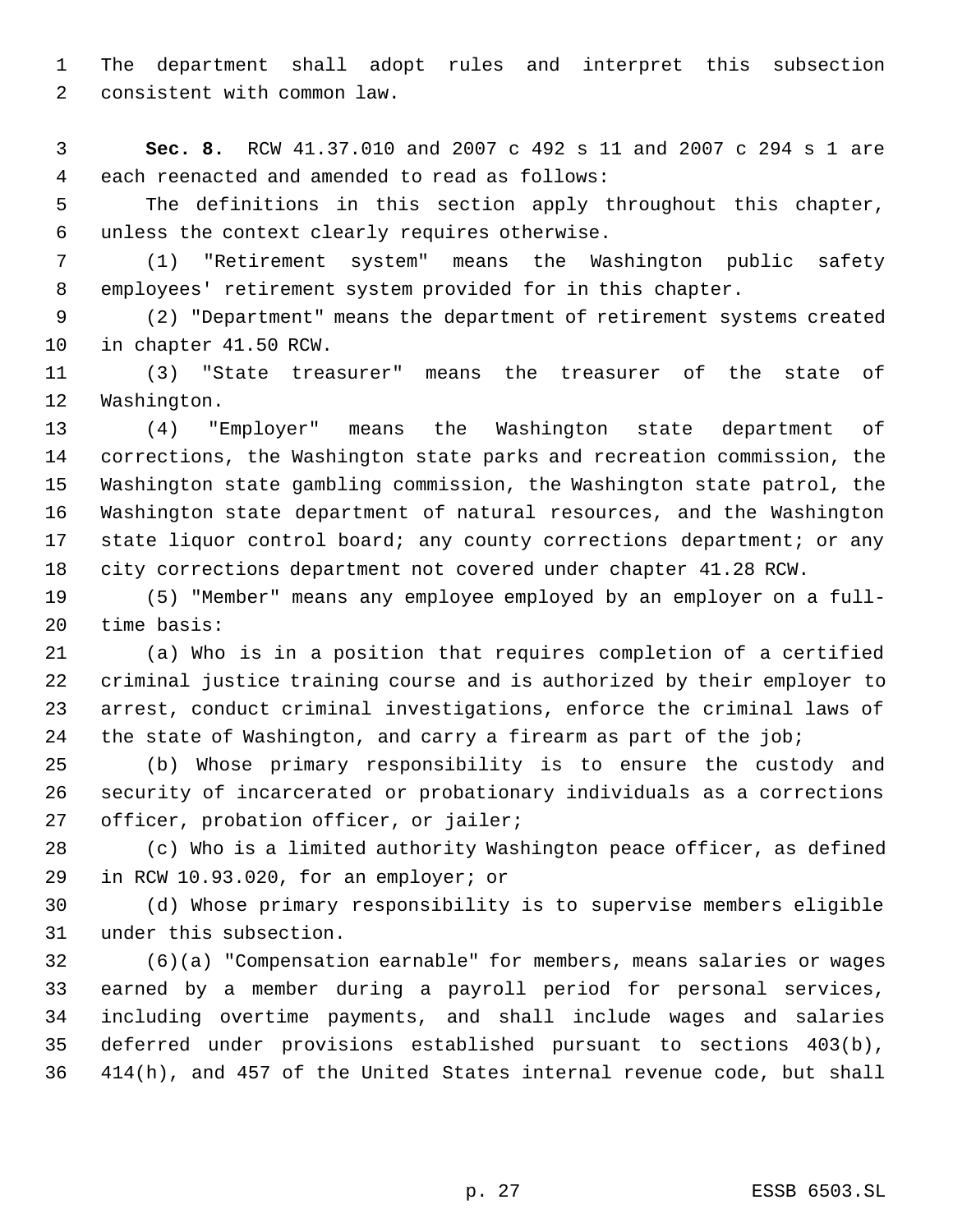The department shall adopt rules and interpret this subsection consistent with common law.

 **Sec. 8.** RCW 41.37.010 and 2007 c 492 s 11 and 2007 c 294 s 1 are each reenacted and amended to read as follows:

 The definitions in this section apply throughout this chapter, unless the context clearly requires otherwise.

 (1) "Retirement system" means the Washington public safety employees' retirement system provided for in this chapter.

 (2) "Department" means the department of retirement systems created in chapter 41.50 RCW.

 (3) "State treasurer" means the treasurer of the state of Washington.

 (4) "Employer" means the Washington state department of corrections, the Washington state parks and recreation commission, the Washington state gambling commission, the Washington state patrol, the Washington state department of natural resources, and the Washington state liquor control board; any county corrections department; or any city corrections department not covered under chapter 41.28 RCW.

 (5) "Member" means any employee employed by an employer on a full-time basis:

 (a) Who is in a position that requires completion of a certified criminal justice training course and is authorized by their employer to arrest, conduct criminal investigations, enforce the criminal laws of 24 the state of Washington, and carry a firearm as part of the job;

 (b) Whose primary responsibility is to ensure the custody and security of incarcerated or probationary individuals as a corrections officer, probation officer, or jailer;

 (c) Who is a limited authority Washington peace officer, as defined in RCW 10.93.020, for an employer; or

 (d) Whose primary responsibility is to supervise members eligible under this subsection.

 (6)(a) "Compensation earnable" for members, means salaries or wages earned by a member during a payroll period for personal services, including overtime payments, and shall include wages and salaries deferred under provisions established pursuant to sections 403(b), 414(h), and 457 of the United States internal revenue code, but shall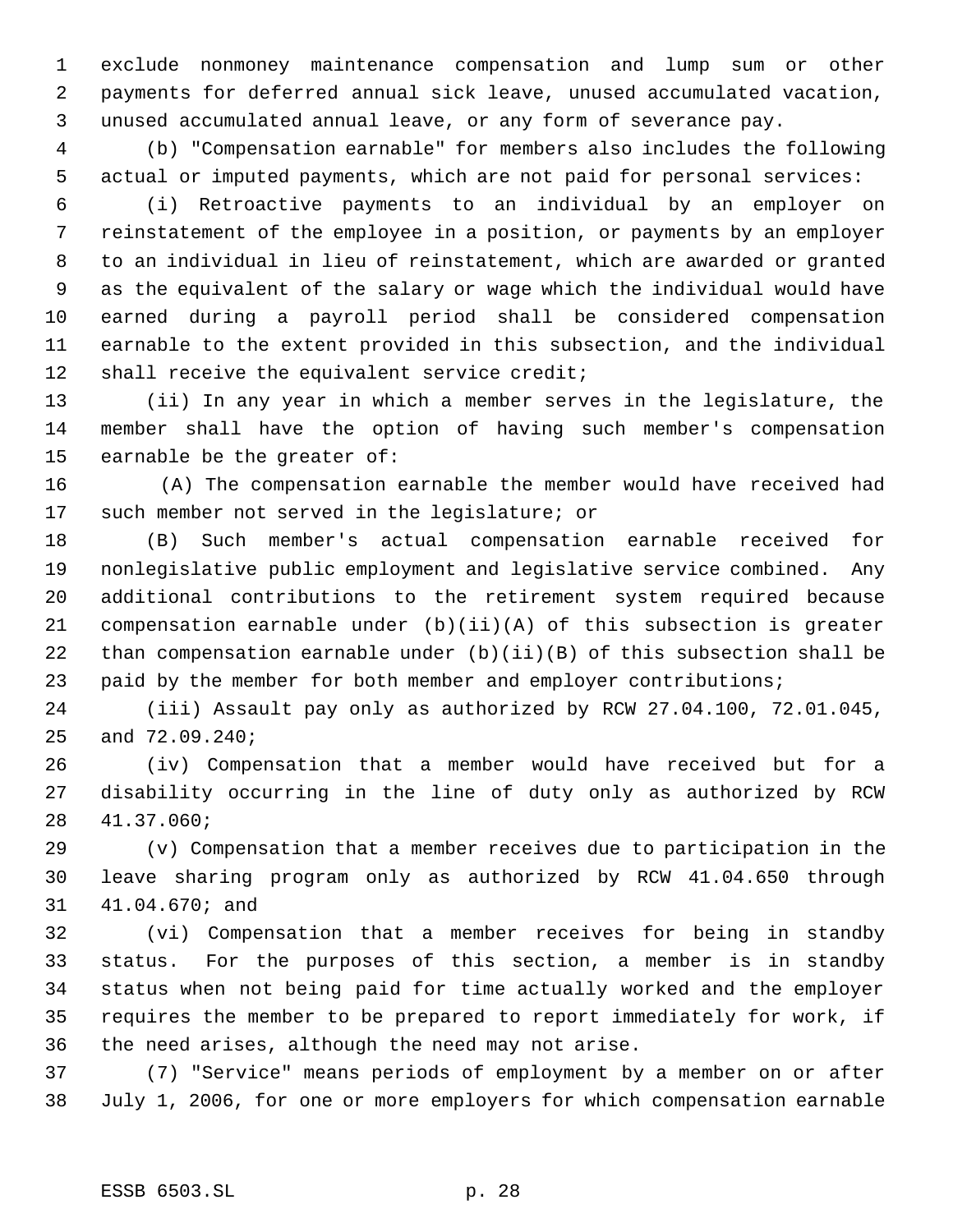exclude nonmoney maintenance compensation and lump sum or other payments for deferred annual sick leave, unused accumulated vacation, unused accumulated annual leave, or any form of severance pay.

 (b) "Compensation earnable" for members also includes the following actual or imputed payments, which are not paid for personal services:

 (i) Retroactive payments to an individual by an employer on reinstatement of the employee in a position, or payments by an employer to an individual in lieu of reinstatement, which are awarded or granted as the equivalent of the salary or wage which the individual would have earned during a payroll period shall be considered compensation earnable to the extent provided in this subsection, and the individual 12 shall receive the equivalent service credit;

 (ii) In any year in which a member serves in the legislature, the member shall have the option of having such member's compensation earnable be the greater of:

16 (A) The compensation earnable the member would have received had such member not served in the legislature; or

 (B) Such member's actual compensation earnable received for nonlegislative public employment and legislative service combined. Any additional contributions to the retirement system required because compensation earnable under (b)(ii)(A) of this subsection is greater than compensation earnable under (b)(ii)(B) of this subsection shall be paid by the member for both member and employer contributions;

 (iii) Assault pay only as authorized by RCW 27.04.100, 72.01.045, and 72.09.240;

 (iv) Compensation that a member would have received but for a disability occurring in the line of duty only as authorized by RCW 41.37.060;

 (v) Compensation that a member receives due to participation in the leave sharing program only as authorized by RCW 41.04.650 through 41.04.670; and

 (vi) Compensation that a member receives for being in standby status. For the purposes of this section, a member is in standby status when not being paid for time actually worked and the employer requires the member to be prepared to report immediately for work, if the need arises, although the need may not arise.

 (7) "Service" means periods of employment by a member on or after July 1, 2006, for one or more employers for which compensation earnable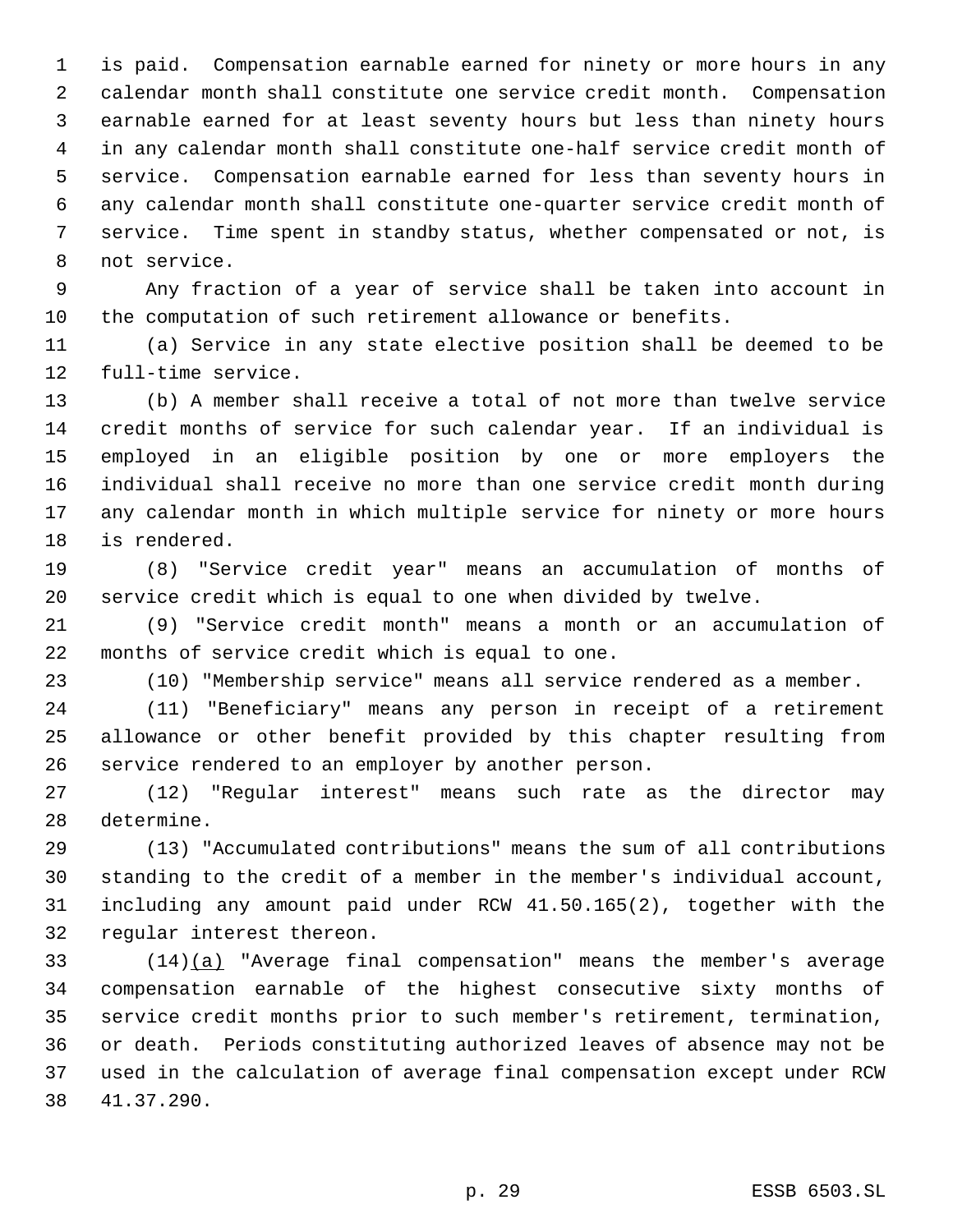is paid. Compensation earnable earned for ninety or more hours in any calendar month shall constitute one service credit month. Compensation earnable earned for at least seventy hours but less than ninety hours in any calendar month shall constitute one-half service credit month of service. Compensation earnable earned for less than seventy hours in any calendar month shall constitute one-quarter service credit month of service. Time spent in standby status, whether compensated or not, is not service.

 Any fraction of a year of service shall be taken into account in the computation of such retirement allowance or benefits.

 (a) Service in any state elective position shall be deemed to be full-time service.

 (b) A member shall receive a total of not more than twelve service credit months of service for such calendar year. If an individual is employed in an eligible position by one or more employers the individual shall receive no more than one service credit month during any calendar month in which multiple service for ninety or more hours is rendered.

 (8) "Service credit year" means an accumulation of months of service credit which is equal to one when divided by twelve.

 (9) "Service credit month" means a month or an accumulation of months of service credit which is equal to one.

(10) "Membership service" means all service rendered as a member.

 (11) "Beneficiary" means any person in receipt of a retirement allowance or other benefit provided by this chapter resulting from service rendered to an employer by another person.

 (12) "Regular interest" means such rate as the director may determine.

 (13) "Accumulated contributions" means the sum of all contributions standing to the credit of a member in the member's individual account, including any amount paid under RCW 41.50.165(2), together with the regular interest thereon.

 (14)(a) "Average final compensation" means the member's average compensation earnable of the highest consecutive sixty months of service credit months prior to such member's retirement, termination, or death. Periods constituting authorized leaves of absence may not be used in the calculation of average final compensation except under RCW 41.37.290.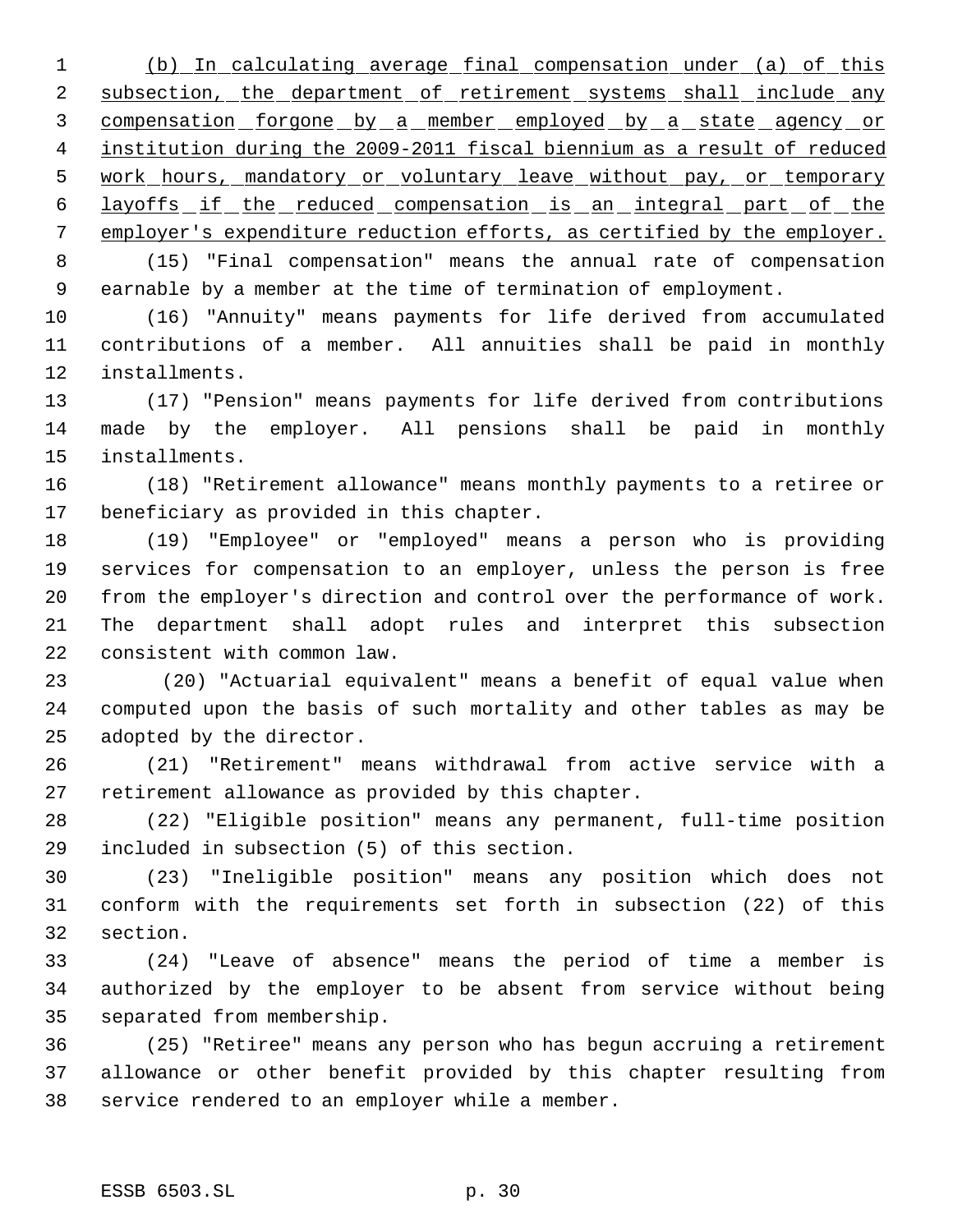(b) In calculating average final compensation under (a) of this 2 subsection, the department of retirement systems shall include any 3 compensation forgone by a member employed by a state agency or institution during the 2009-2011 fiscal biennium as a result of reduced 5 work hours, mandatory or voluntary leave without pay, or temporary 6 layoffs if the reduced compensation is an integral part of the employer's expenditure reduction efforts, as certified by the employer.

 (15) "Final compensation" means the annual rate of compensation earnable by a member at the time of termination of employment.

 (16) "Annuity" means payments for life derived from accumulated contributions of a member. All annuities shall be paid in monthly installments.

 (17) "Pension" means payments for life derived from contributions made by the employer. All pensions shall be paid in monthly installments.

 (18) "Retirement allowance" means monthly payments to a retiree or beneficiary as provided in this chapter.

 (19) "Employee" or "employed" means a person who is providing services for compensation to an employer, unless the person is free from the employer's direction and control over the performance of work. The department shall adopt rules and interpret this subsection consistent with common law.

23 (20) "Actuarial equivalent" means a benefit of equal value when computed upon the basis of such mortality and other tables as may be adopted by the director.

 (21) "Retirement" means withdrawal from active service with a retirement allowance as provided by this chapter.

 (22) "Eligible position" means any permanent, full-time position included in subsection (5) of this section.

 (23) "Ineligible position" means any position which does not conform with the requirements set forth in subsection (22) of this section.

 (24) "Leave of absence" means the period of time a member is authorized by the employer to be absent from service without being separated from membership.

 (25) "Retiree" means any person who has begun accruing a retirement allowance or other benefit provided by this chapter resulting from service rendered to an employer while a member.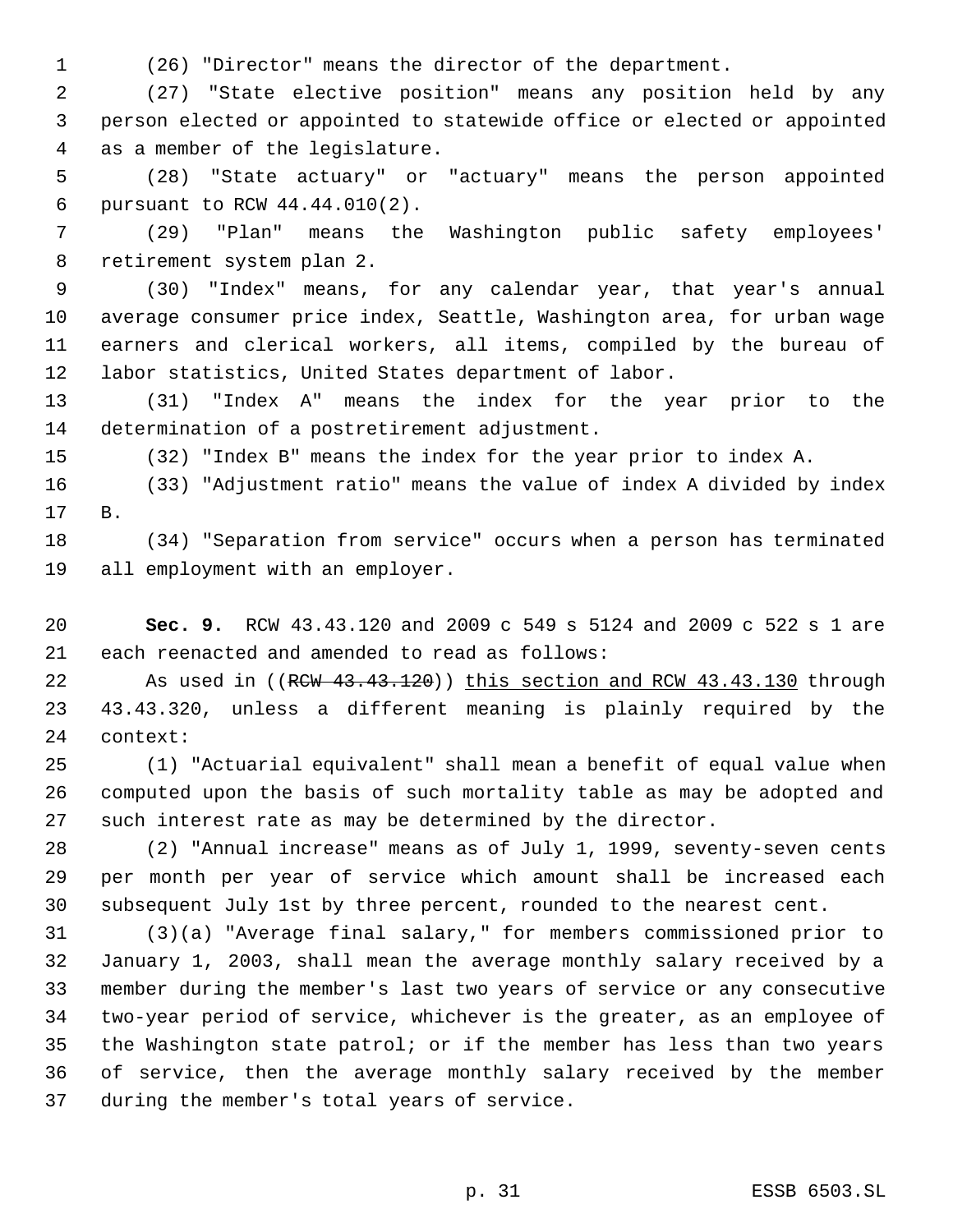(26) "Director" means the director of the department.

 (27) "State elective position" means any position held by any person elected or appointed to statewide office or elected or appointed as a member of the legislature.

 (28) "State actuary" or "actuary" means the person appointed pursuant to RCW 44.44.010(2).

 (29) "Plan" means the Washington public safety employees' retirement system plan 2.

 (30) "Index" means, for any calendar year, that year's annual average consumer price index, Seattle, Washington area, for urban wage earners and clerical workers, all items, compiled by the bureau of labor statistics, United States department of labor.

 (31) "Index A" means the index for the year prior to the determination of a postretirement adjustment.

(32) "Index B" means the index for the year prior to index A.

 (33) "Adjustment ratio" means the value of index A divided by index B.

 (34) "Separation from service" occurs when a person has terminated all employment with an employer.

 **Sec. 9.** RCW 43.43.120 and 2009 c 549 s 5124 and 2009 c 522 s 1 are each reenacted and amended to read as follows:

22 As used in ((RCW 43.43.120)) this section and RCW 43.43.130 through 43.43.320, unless a different meaning is plainly required by the context:

 (1) "Actuarial equivalent" shall mean a benefit of equal value when computed upon the basis of such mortality table as may be adopted and such interest rate as may be determined by the director.

 (2) "Annual increase" means as of July 1, 1999, seventy-seven cents per month per year of service which amount shall be increased each subsequent July 1st by three percent, rounded to the nearest cent.

 (3)(a) "Average final salary," for members commissioned prior to January 1, 2003, shall mean the average monthly salary received by a member during the member's last two years of service or any consecutive two-year period of service, whichever is the greater, as an employee of the Washington state patrol; or if the member has less than two years of service, then the average monthly salary received by the member during the member's total years of service.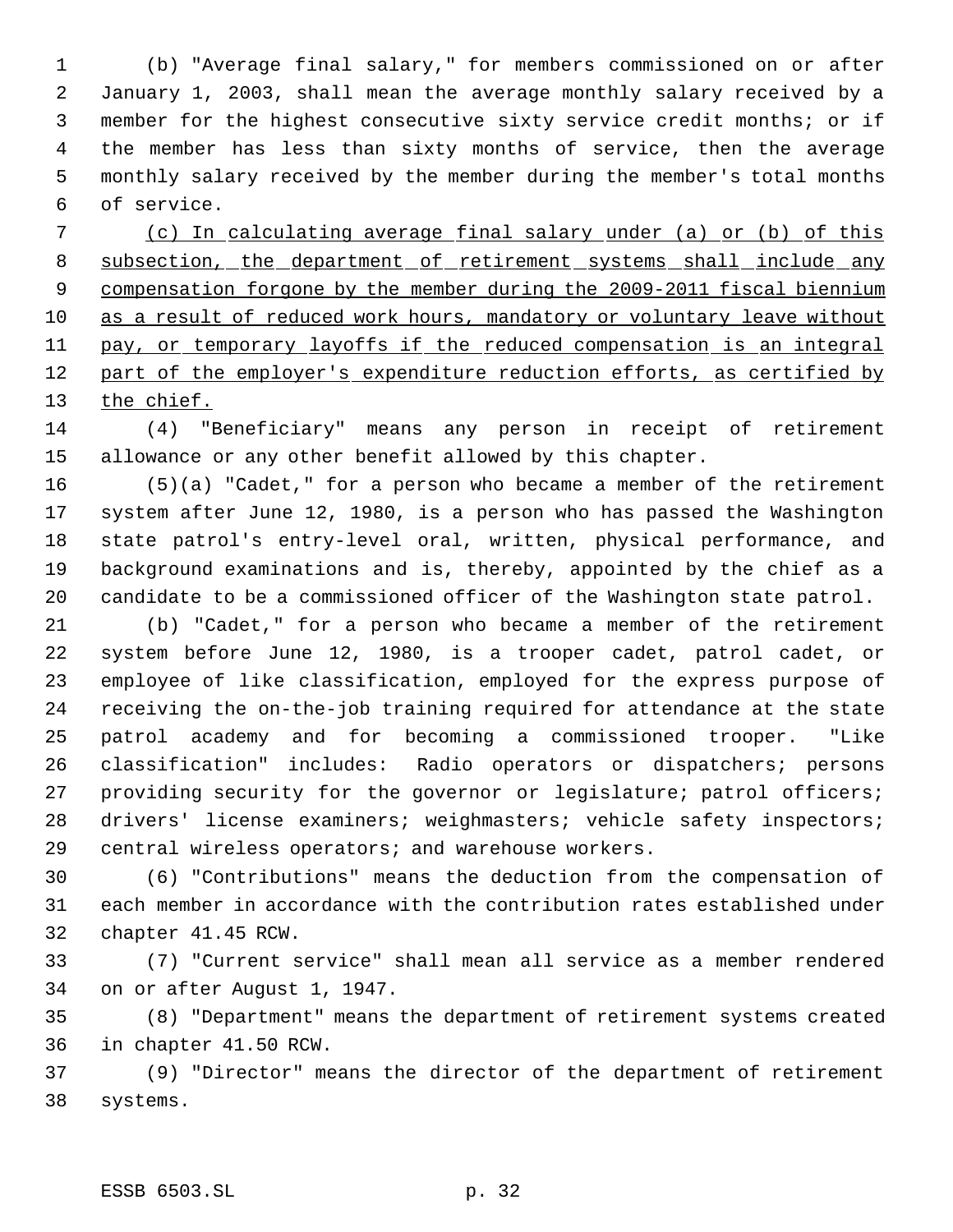(b) "Average final salary," for members commissioned on or after January 1, 2003, shall mean the average monthly salary received by a member for the highest consecutive sixty service credit months; or if the member has less than sixty months of service, then the average monthly salary received by the member during the member's total months of service.

 (c) In calculating average final salary under (a) or (b) of this 8 subsection, the department of retirement systems shall include any 9 compensation forgone by the member during the 2009-2011 fiscal biennium 10 as a result of reduced work hours, mandatory or voluntary leave without 11 pay, or temporary layoffs if the reduced compensation is an integral 12 part of the employer's expenditure reduction efforts, as certified by 13 the chief.

 (4) "Beneficiary" means any person in receipt of retirement allowance or any other benefit allowed by this chapter.

 (5)(a) "Cadet," for a person who became a member of the retirement system after June 12, 1980, is a person who has passed the Washington state patrol's entry-level oral, written, physical performance, and background examinations and is, thereby, appointed by the chief as a candidate to be a commissioned officer of the Washington state patrol.

 (b) "Cadet," for a person who became a member of the retirement system before June 12, 1980, is a trooper cadet, patrol cadet, or employee of like classification, employed for the express purpose of receiving the on-the-job training required for attendance at the state patrol academy and for becoming a commissioned trooper. "Like classification" includes: Radio operators or dispatchers; persons providing security for the governor or legislature; patrol officers; drivers' license examiners; weighmasters; vehicle safety inspectors; central wireless operators; and warehouse workers.

 (6) "Contributions" means the deduction from the compensation of each member in accordance with the contribution rates established under chapter 41.45 RCW.

 (7) "Current service" shall mean all service as a member rendered on or after August 1, 1947.

 (8) "Department" means the department of retirement systems created in chapter 41.50 RCW.

 (9) "Director" means the director of the department of retirement systems.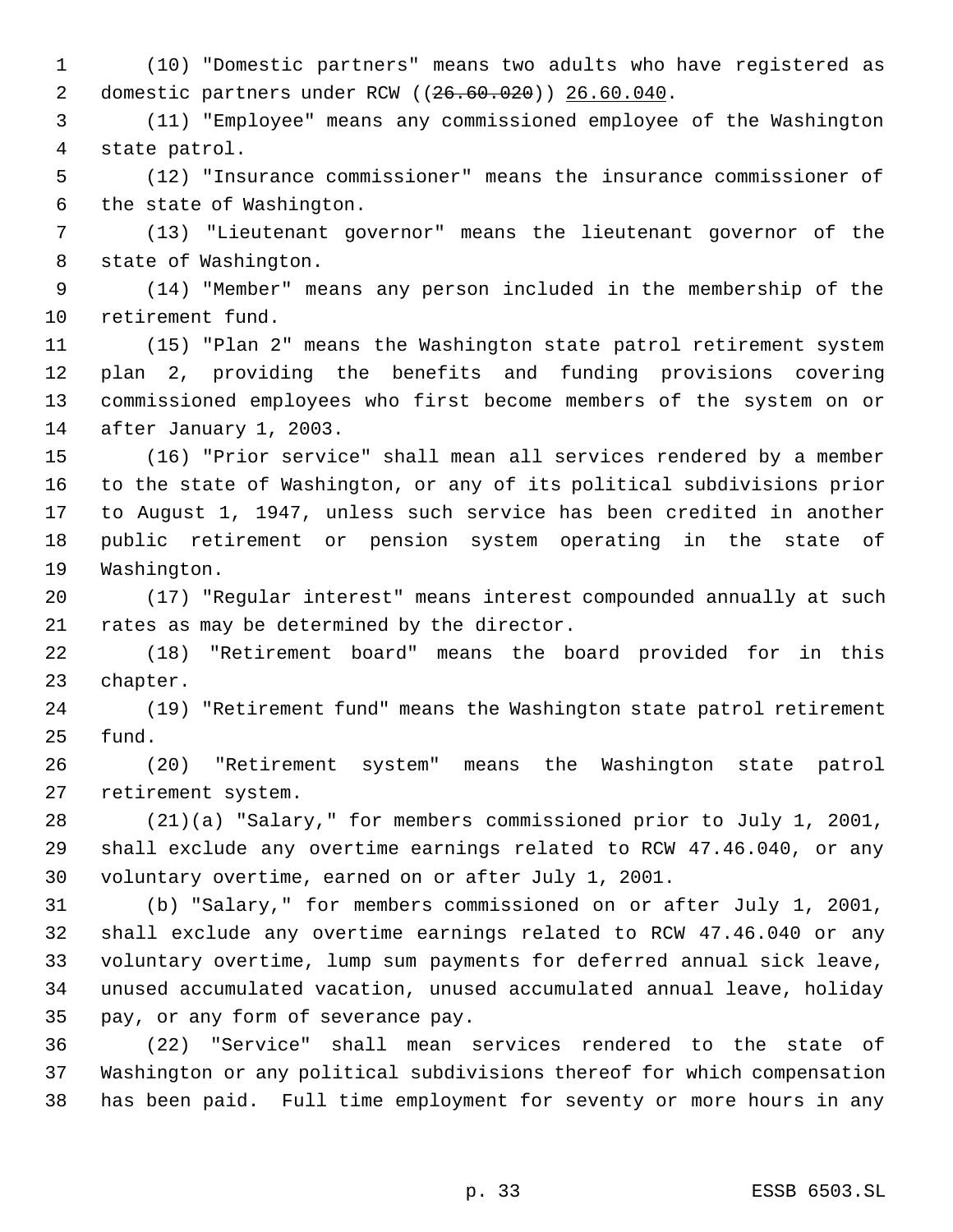(10) "Domestic partners" means two adults who have registered as domestic partners under RCW ((26.60.020)) 26.60.040.

 (11) "Employee" means any commissioned employee of the Washington state patrol.

 (12) "Insurance commissioner" means the insurance commissioner of the state of Washington.

 (13) "Lieutenant governor" means the lieutenant governor of the state of Washington.

 (14) "Member" means any person included in the membership of the retirement fund.

 (15) "Plan 2" means the Washington state patrol retirement system plan 2, providing the benefits and funding provisions covering commissioned employees who first become members of the system on or after January 1, 2003.

 (16) "Prior service" shall mean all services rendered by a member to the state of Washington, or any of its political subdivisions prior to August 1, 1947, unless such service has been credited in another public retirement or pension system operating in the state of Washington.

 (17) "Regular interest" means interest compounded annually at such rates as may be determined by the director.

 (18) "Retirement board" means the board provided for in this chapter.

 (19) "Retirement fund" means the Washington state patrol retirement fund.

 (20) "Retirement system" means the Washington state patrol retirement system.

 (21)(a) "Salary," for members commissioned prior to July 1, 2001, shall exclude any overtime earnings related to RCW 47.46.040, or any voluntary overtime, earned on or after July 1, 2001.

 (b) "Salary," for members commissioned on or after July 1, 2001, shall exclude any overtime earnings related to RCW 47.46.040 or any voluntary overtime, lump sum payments for deferred annual sick leave, unused accumulated vacation, unused accumulated annual leave, holiday pay, or any form of severance pay.

 (22) "Service" shall mean services rendered to the state of Washington or any political subdivisions thereof for which compensation has been paid. Full time employment for seventy or more hours in any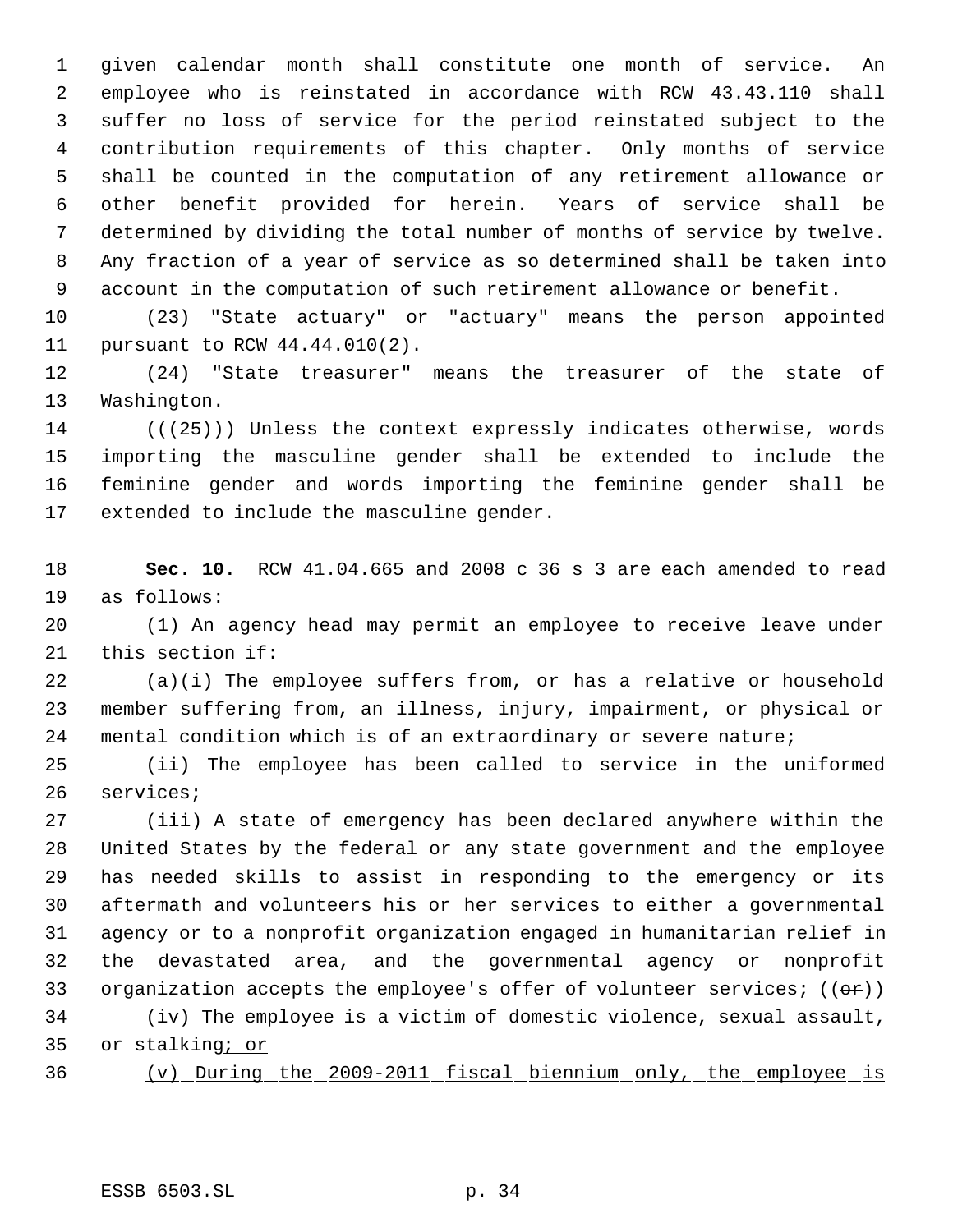given calendar month shall constitute one month of service. An employee who is reinstated in accordance with RCW 43.43.110 shall suffer no loss of service for the period reinstated subject to the contribution requirements of this chapter. Only months of service shall be counted in the computation of any retirement allowance or other benefit provided for herein. Years of service shall be determined by dividing the total number of months of service by twelve. Any fraction of a year of service as so determined shall be taken into account in the computation of such retirement allowance or benefit.

 (23) "State actuary" or "actuary" means the person appointed pursuant to RCW 44.44.010(2).

 (24) "State treasurer" means the treasurer of the state of Washington.

 $((+25))$  Unless the context expressly indicates otherwise, words importing the masculine gender shall be extended to include the feminine gender and words importing the feminine gender shall be extended to include the masculine gender.

 **Sec. 10.** RCW 41.04.665 and 2008 c 36 s 3 are each amended to read as follows:

 (1) An agency head may permit an employee to receive leave under this section if:

 (a)(i) The employee suffers from, or has a relative or household member suffering from, an illness, injury, impairment, or physical or mental condition which is of an extraordinary or severe nature;

 (ii) The employee has been called to service in the uniformed services;

 (iii) A state of emergency has been declared anywhere within the United States by the federal or any state government and the employee has needed skills to assist in responding to the emergency or its aftermath and volunteers his or her services to either a governmental agency or to a nonprofit organization engaged in humanitarian relief in the devastated area, and the governmental agency or nonprofit 33 organization accepts the employee's offer of volunteer services;  $((\theta \cdot \mathbf{r}))$ (iv) The employee is a victim of domestic violence, sexual assault,

35 or stalking; or

(v) During the 2009-2011 fiscal biennium only, the employee is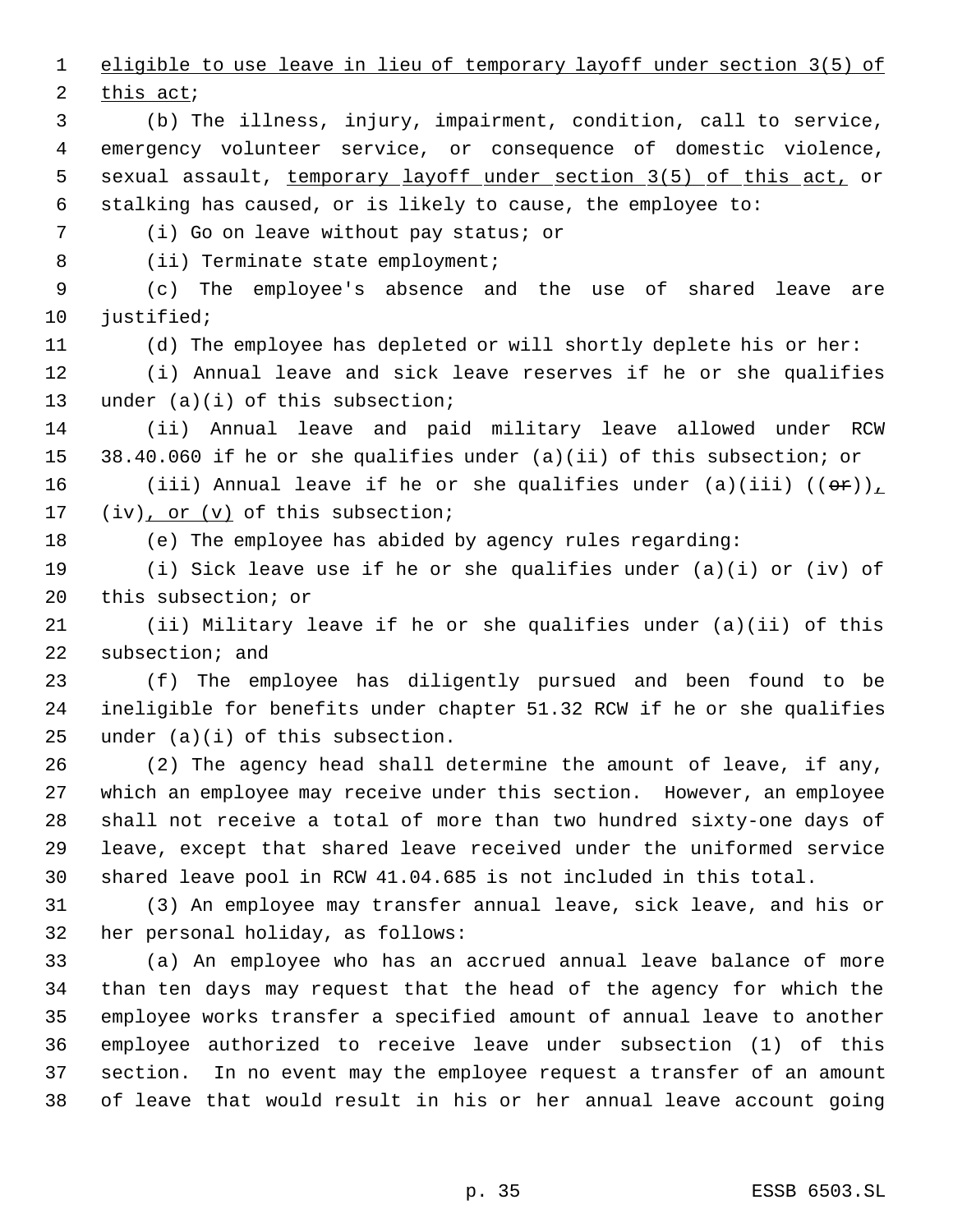eligible to use leave in lieu of temporary layoff under section 3(5) of

this act;

 (b) The illness, injury, impairment, condition, call to service, emergency volunteer service, or consequence of domestic violence, sexual assault, temporary layoff under section 3(5) of this act, or stalking has caused, or is likely to cause, the employee to:

(i) Go on leave without pay status; or

8 (ii) Terminate state employment;

 (c) The employee's absence and the use of shared leave are 10 justified;

(d) The employee has depleted or will shortly deplete his or her:

 (i) Annual leave and sick leave reserves if he or she qualifies 13 under (a)(i) of this subsection;

 (ii) Annual leave and paid military leave allowed under RCW 38.40.060 if he or she qualifies under (a)(ii) of this subsection; or

16 (iii) Annual leave if he or she qualifies under (a)(iii)  $((\theta \cdot \hat{r}))_L$ 17  $(iv)$ , or  $(v)$  of this subsection;

(e) The employee has abided by agency rules regarding:

 (i) Sick leave use if he or she qualifies under (a)(i) or (iv) of this subsection; or

 (ii) Military leave if he or she qualifies under (a)(ii) of this subsection; and

 (f) The employee has diligently pursued and been found to be ineligible for benefits under chapter 51.32 RCW if he or she qualifies under (a)(i) of this subsection.

 (2) The agency head shall determine the amount of leave, if any, which an employee may receive under this section. However, an employee shall not receive a total of more than two hundred sixty-one days of leave, except that shared leave received under the uniformed service shared leave pool in RCW 41.04.685 is not included in this total.

 (3) An employee may transfer annual leave, sick leave, and his or her personal holiday, as follows:

 (a) An employee who has an accrued annual leave balance of more than ten days may request that the head of the agency for which the employee works transfer a specified amount of annual leave to another employee authorized to receive leave under subsection (1) of this section. In no event may the employee request a transfer of an amount of leave that would result in his or her annual leave account going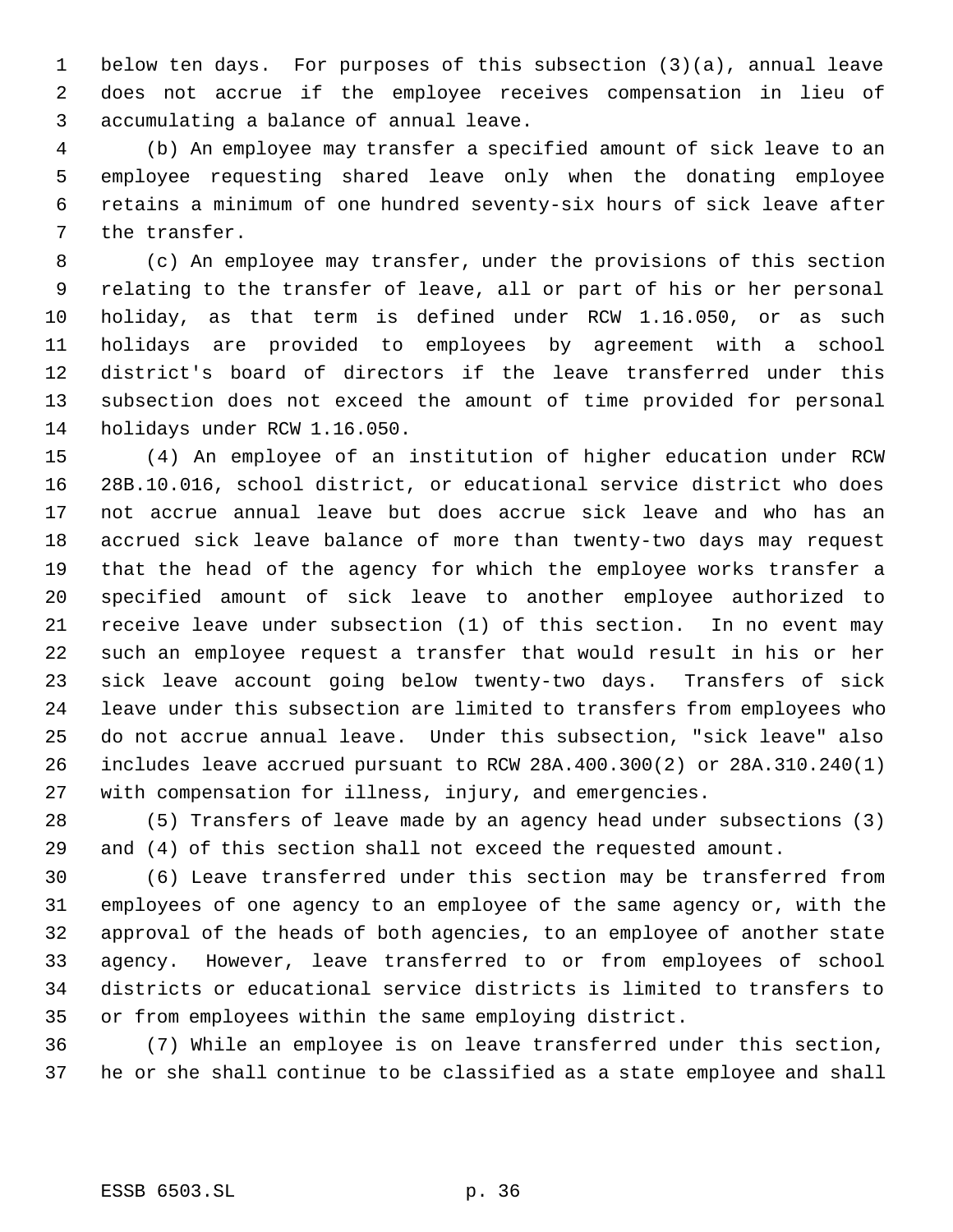below ten days. For purposes of this subsection (3)(a), annual leave does not accrue if the employee receives compensation in lieu of accumulating a balance of annual leave.

 (b) An employee may transfer a specified amount of sick leave to an employee requesting shared leave only when the donating employee retains a minimum of one hundred seventy-six hours of sick leave after the transfer.

 (c) An employee may transfer, under the provisions of this section relating to the transfer of leave, all or part of his or her personal holiday, as that term is defined under RCW 1.16.050, or as such holidays are provided to employees by agreement with a school district's board of directors if the leave transferred under this subsection does not exceed the amount of time provided for personal holidays under RCW 1.16.050.

 (4) An employee of an institution of higher education under RCW 28B.10.016, school district, or educational service district who does not accrue annual leave but does accrue sick leave and who has an accrued sick leave balance of more than twenty-two days may request that the head of the agency for which the employee works transfer a specified amount of sick leave to another employee authorized to receive leave under subsection (1) of this section. In no event may such an employee request a transfer that would result in his or her sick leave account going below twenty-two days. Transfers of sick leave under this subsection are limited to transfers from employees who do not accrue annual leave. Under this subsection, "sick leave" also includes leave accrued pursuant to RCW 28A.400.300(2) or 28A.310.240(1) with compensation for illness, injury, and emergencies.

 (5) Transfers of leave made by an agency head under subsections (3) and (4) of this section shall not exceed the requested amount.

 (6) Leave transferred under this section may be transferred from employees of one agency to an employee of the same agency or, with the approval of the heads of both agencies, to an employee of another state agency. However, leave transferred to or from employees of school districts or educational service districts is limited to transfers to or from employees within the same employing district.

 (7) While an employee is on leave transferred under this section, he or she shall continue to be classified as a state employee and shall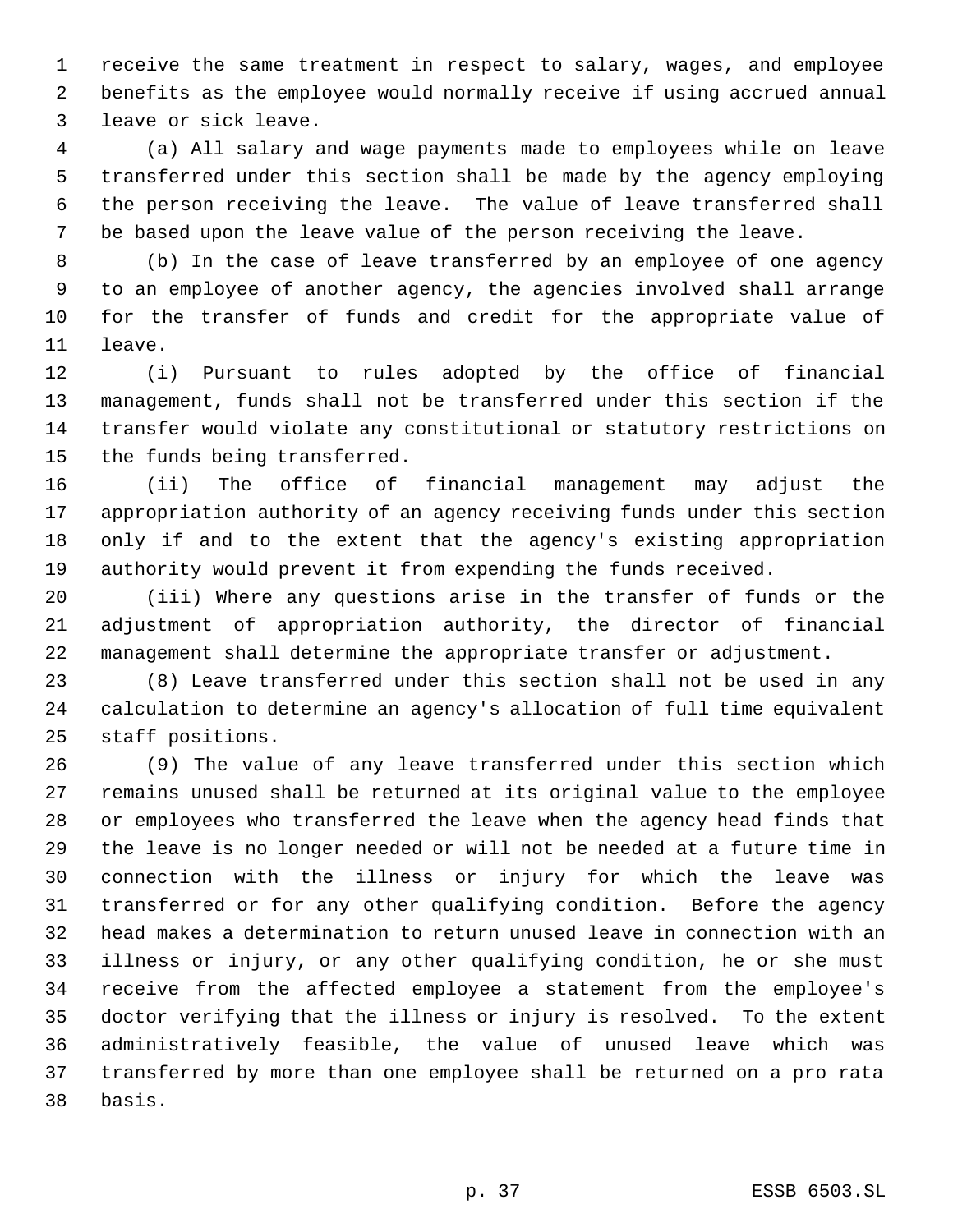receive the same treatment in respect to salary, wages, and employee benefits as the employee would normally receive if using accrued annual leave or sick leave.

 (a) All salary and wage payments made to employees while on leave transferred under this section shall be made by the agency employing the person receiving the leave. The value of leave transferred shall be based upon the leave value of the person receiving the leave.

 (b) In the case of leave transferred by an employee of one agency to an employee of another agency, the agencies involved shall arrange for the transfer of funds and credit for the appropriate value of leave.

 (i) Pursuant to rules adopted by the office of financial management, funds shall not be transferred under this section if the transfer would violate any constitutional or statutory restrictions on the funds being transferred.

 (ii) The office of financial management may adjust the appropriation authority of an agency receiving funds under this section only if and to the extent that the agency's existing appropriation authority would prevent it from expending the funds received.

 (iii) Where any questions arise in the transfer of funds or the adjustment of appropriation authority, the director of financial management shall determine the appropriate transfer or adjustment.

 (8) Leave transferred under this section shall not be used in any calculation to determine an agency's allocation of full time equivalent staff positions.

 (9) The value of any leave transferred under this section which remains unused shall be returned at its original value to the employee or employees who transferred the leave when the agency head finds that the leave is no longer needed or will not be needed at a future time in connection with the illness or injury for which the leave was transferred or for any other qualifying condition. Before the agency head makes a determination to return unused leave in connection with an illness or injury, or any other qualifying condition, he or she must receive from the affected employee a statement from the employee's doctor verifying that the illness or injury is resolved. To the extent administratively feasible, the value of unused leave which was transferred by more than one employee shall be returned on a pro rata basis.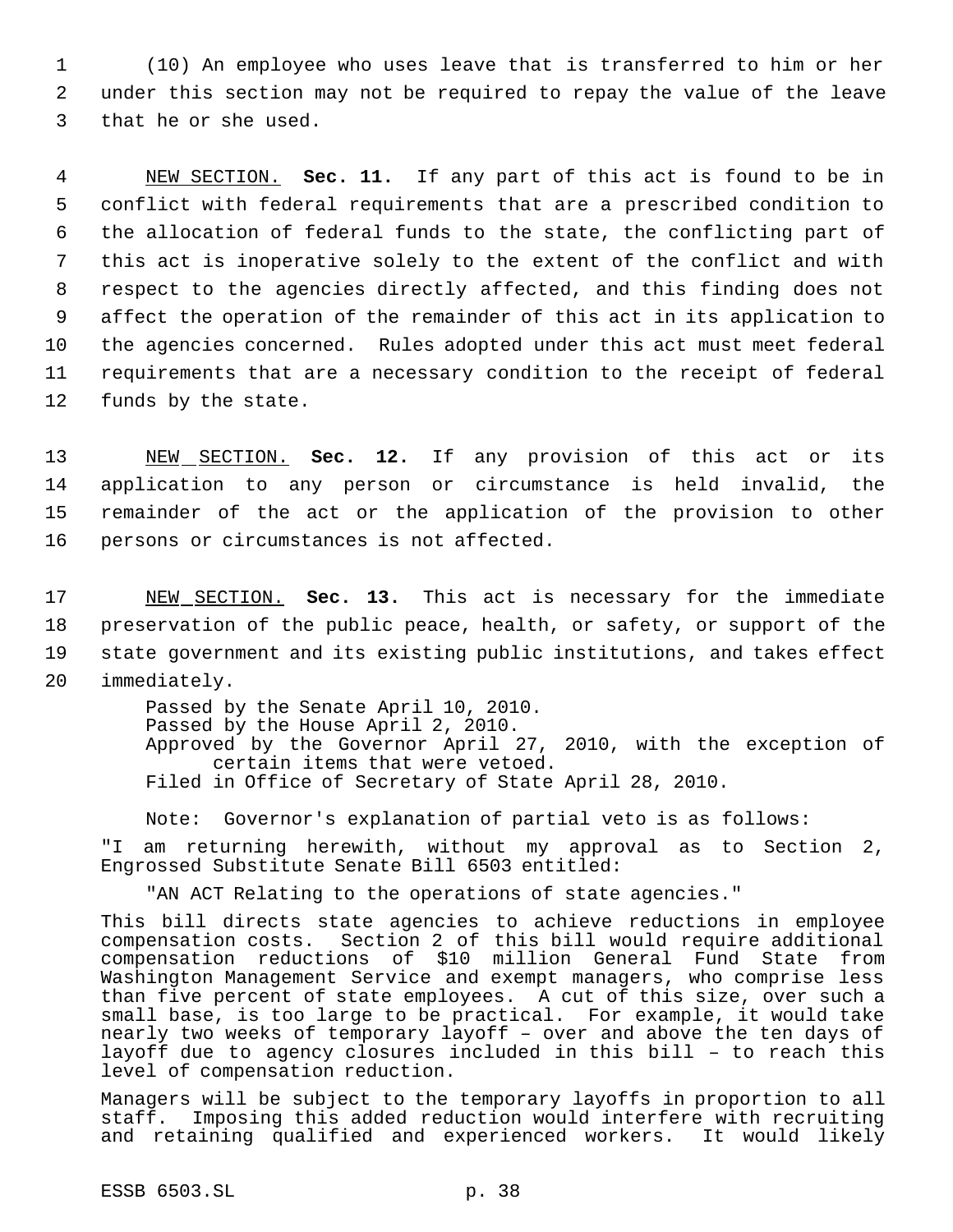1 (10) An employee who uses leave that is transferred to him or her 2 under this section may not be required to repay the value of the leave 3 that he or she used.

 NEW SECTION. **Sec. 11.** If any part of this act is found to be in conflict with federal requirements that are a prescribed condition to the allocation of federal funds to the state, the conflicting part of this act is inoperative solely to the extent of the conflict and with respect to the agencies directly affected, and this finding does not affect the operation of the remainder of this act in its application to the agencies concerned. Rules adopted under this act must meet federal requirements that are a necessary condition to the receipt of federal funds by the state.

 NEW SECTION. **Sec. 12.** If any provision of this act or its application to any person or circumstance is held invalid, the remainder of the act or the application of the provision to other persons or circumstances is not affected.

 NEW SECTION. **Sec. 13.** This act is necessary for the immediate preservation of the public peace, health, or safety, or support of the state government and its existing public institutions, and takes effect immediately.

> Passed by the Senate April 10, 2010. Passed by the House April 2, 2010. Approved by the Governor April 27, 2010, with the exception of certain items that were vetoed. Filed in Office of Secretary of State April 28, 2010.

Note: Governor's explanation of partial veto is as follows:

"I am returning herewith, without my approval as to Section 2, Engrossed Substitute Senate Bill 6503 entitled:

"AN ACT Relating to the operations of state agencies."

This bill directs state agencies to achieve reductions in employee compensation costs. Section 2 of this bill would require additional compensation reductions of \$10 million General Fund State from Washington Management Service and exempt managers, who comprise less than five percent of state employees. A cut of this size, over such a small base, is too large to be practical. For example, it would take nearly two weeks of temporary layoff – over and above the ten days of layoff due to agency closures included in this bill – to reach this level of compensation reduction.

Managers will be subject to the temporary layoffs in proportion to all staff. Imposing this added reduction would interfere with recruiting and retaining qualified and experienced workers. It would likely